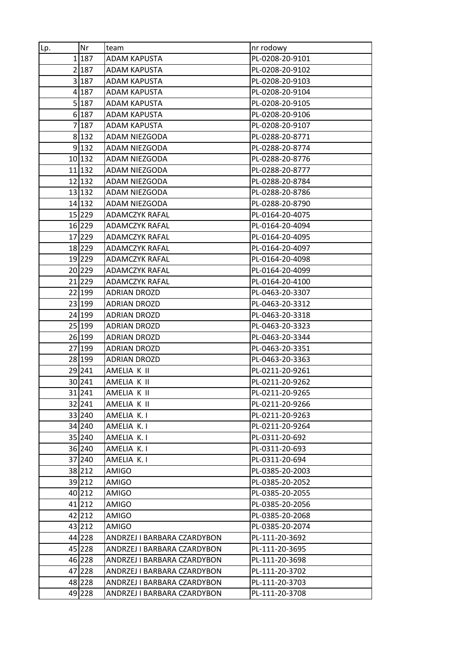| Lp. | Nr     | team                        | nr rodowy       |
|-----|--------|-----------------------------|-----------------|
|     | 1187   | ADAM KAPUSTA                | PL-0208-20-9101 |
|     | 2 187  | ADAM KAPUSTA                | PL-0208-20-9102 |
|     | 3 187  | <b>ADAM KAPUSTA</b>         | PL-0208-20-9103 |
|     | 4 187  | ADAM KAPUSTA                | PL-0208-20-9104 |
|     | 5 187  | <b>ADAM KAPUSTA</b>         | PL-0208-20-9105 |
|     | 6 187  | ADAM KAPUSTA                | PL-0208-20-9106 |
|     | 7 187  | ADAM KAPUSTA                | PL-0208-20-9107 |
|     | 8 132  | ADAM NIEZGODA               | PL-0288-20-8771 |
|     | 9 132  | ADAM NIEZGODA               | PL-0288-20-8774 |
|     | 10 132 | ADAM NIEZGODA               | PL-0288-20-8776 |
|     | 11 132 | ADAM NIEZGODA               | PL-0288-20-8777 |
|     | 12 132 | ADAM NIEZGODA               | PL-0288-20-8784 |
|     | 13 132 | ADAM NIEZGODA               | PL-0288-20-8786 |
|     | 14 132 | ADAM NIEZGODA               | PL-0288-20-8790 |
|     | 15 229 | ADAMCZYK RAFAL              | PL-0164-20-4075 |
|     | 16 229 | <b>ADAMCZYK RAFAL</b>       | PL-0164-20-4094 |
|     | 17 229 | ADAMCZYK RAFAL              | PL-0164-20-4095 |
|     | 18 229 | <b>ADAMCZYK RAFAL</b>       | PL-0164-20-4097 |
|     | 19 229 | ADAMCZYK RAFAL              | PL-0164-20-4098 |
|     | 20 229 | ADAMCZYK RAFAL              | PL-0164-20-4099 |
|     | 21 229 | <b>ADAMCZYK RAFAL</b>       | PL-0164-20-4100 |
|     | 22 199 | ADRIAN DROZD                | PL-0463-20-3307 |
|     | 23 199 | <b>ADRIAN DROZD</b>         | PL-0463-20-3312 |
|     | 24 199 | ADRIAN DROZD                | PL-0463-20-3318 |
|     | 25 199 | ADRIAN DROZD                | PL-0463-20-3323 |
|     | 26 199 | <b>ADRIAN DROZD</b>         | PL-0463-20-3344 |
|     | 27 199 | <b>ADRIAN DROZD</b>         | PL-0463-20-3351 |
|     | 28 199 | ADRIAN DROZD                | PL-0463-20-3363 |
|     | 29 241 | AMELIA K II                 | PL-0211-20-9261 |
|     | 30 241 | AMELIA K II                 | PL-0211-20-9262 |
|     | 31 241 | AMELIA K II                 | PL-0211-20-9265 |
|     | 32 241 | AMELIA K II                 | PL-0211-20-9266 |
|     | 33 240 | AMELIA K.I                  | PL-0211-20-9263 |
|     | 34 240 | AMELIA K.I                  | PL-0211-20-9264 |
|     | 35 240 | AMELIA K.I                  | PL-0311-20-692  |
|     | 36 240 | AMELIA K.I                  | PL-0311-20-693  |
|     | 37 240 | AMELIA K.I                  | PL-0311-20-694  |
|     | 38 212 | <b>AMIGO</b>                | PL-0385-20-2003 |
|     | 39 212 | AMIGO                       | PL-0385-20-2052 |
|     | 40 212 | AMIGO                       | PL-0385-20-2055 |
|     | 41 212 | AMIGO                       | PL-0385-20-2056 |
|     | 42 212 | AMIGO                       | PL-0385-20-2068 |
|     | 43 212 | <b>AMIGO</b>                | PL-0385-20-2074 |
|     | 44 228 | ANDRZEJ I BARBARA CZARDYBON | PL-111-20-3692  |
|     | 45 228 | ANDRZEJ I BARBARA CZARDYBON | PL-111-20-3695  |
|     | 46 228 | ANDRZEJ I BARBARA CZARDYBON | PL-111-20-3698  |
|     | 47 228 | ANDRZEJ I BARBARA CZARDYBON | PL-111-20-3702  |
|     | 48 228 | ANDRZEJ I BARBARA CZARDYBON | PL-111-20-3703  |
|     | 49 228 | ANDRZEJ I BARBARA CZARDYBON | PL-111-20-3708  |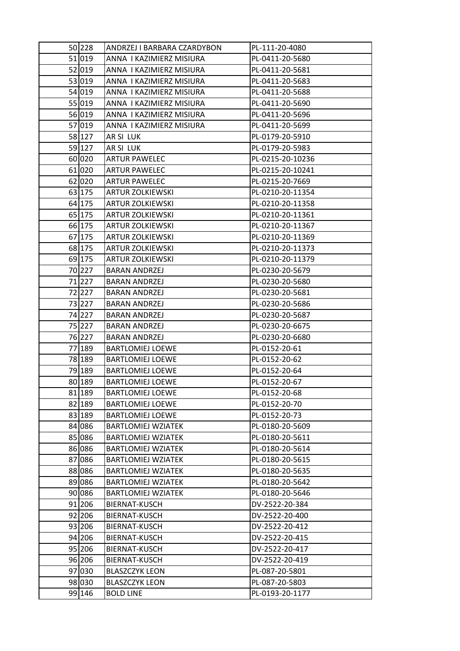| 50 228 | ANDRZEJ I BARBARA CZARDYBON | PL-111-20-4080   |
|--------|-----------------------------|------------------|
| 51 019 | ANNA I KAZIMIERZ MISIURA    | PL-0411-20-5680  |
| 52 019 | ANNA I KAZIMIERZ MISIURA    | PL-0411-20-5681  |
| 53 019 | ANNA I KAZIMIERZ MISIURA    | PL-0411-20-5683  |
| 54 019 | ANNA I KAZIMIERZ MISIURA    | PL-0411-20-5688  |
| 55 019 | ANNA I KAZIMIERZ MISIURA    | PL-0411-20-5690  |
| 56 019 | ANNA I KAZIMIERZ MISIURA    | PL-0411-20-5696  |
| 57 019 | ANNA I KAZIMIERZ MISIURA    | PL-0411-20-5699  |
| 58 127 | AR SI LUK                   | PL-0179-20-5910  |
| 59 127 | AR SI LUK                   | PL-0179-20-5983  |
| 60 020 | <b>ARTUR PAWELEC</b>        | PL-0215-20-10236 |
| 61 020 | <b>ARTUR PAWELEC</b>        | PL-0215-20-10241 |
| 62 020 | <b>ARTUR PAWELEC</b>        | PL-0215-20-7669  |
| 63 175 | <b>ARTUR ZOLKIEWSKI</b>     | PL-0210-20-11354 |
| 64 175 | <b>ARTUR ZOLKIEWSKI</b>     | PL-0210-20-11358 |
| 65 175 | ARTUR ZOLKIEWSKI            | PL-0210-20-11361 |
| 66 175 | <b>ARTUR ZOLKIEWSKI</b>     | PL-0210-20-11367 |
| 67 175 | <b>ARTUR ZOLKIEWSKI</b>     | PL-0210-20-11369 |
| 68 175 | <b>ARTUR ZOLKIEWSKI</b>     | PL-0210-20-11373 |
| 69 175 | <b>ARTUR ZOLKIEWSKI</b>     | PL-0210-20-11379 |
| 70 227 | <b>BARAN ANDRZEJ</b>        | PL-0230-20-5679  |
| 71 227 | <b>BARAN ANDRZEJ</b>        | PL-0230-20-5680  |
| 72 227 | <b>BARAN ANDRZEJ</b>        | PL-0230-20-5681  |
| 73 227 | <b>BARAN ANDRZEJ</b>        | PL-0230-20-5686  |
| 74 227 | <b>BARAN ANDRZEJ</b>        | PL-0230-20-5687  |
| 75 227 | BARAN ANDRZEJ               | PL-0230-20-6675  |
| 76 227 | <b>BARAN ANDRZEJ</b>        | PL-0230-20-6680  |
| 77 189 | <b>BARTLOMIEJ LOEWE</b>     | PL-0152-20-61    |
| 78 189 | <b>BARTLOMIEJ LOEWE</b>     | PL-0152-20-62    |
| 79 189 | <b>BARTLOMIEJ LOEWE</b>     | PL-0152-20-64    |
| 80 189 | <b>BARTLOMIEJ LOEWE</b>     | PL-0152-20-67    |
| 81 189 | <b>BARTLOMIEJ LOEWE</b>     | PL-0152-20-68    |
| 82 189 | <b>BARTLOMIEJ LOEWE</b>     | PL-0152-20-70    |
| 83 189 | <b>BARTLOMIEJ LOEWE</b>     | PL-0152-20-73    |
| 84 086 | <b>BARTLOMIEJ WZIATEK</b>   | PL-0180-20-5609  |
| 85 086 | <b>BARTLOMIEJ WZIATEK</b>   | PL-0180-20-5611  |
| 86 086 | <b>BARTLOMIEJ WZIATEK</b>   | PL-0180-20-5614  |
| 87 086 | <b>BARTLOMIEJ WZIATEK</b>   | PL-0180-20-5615  |
| 88 086 | <b>BARTLOMIEJ WZIATEK</b>   | PL-0180-20-5635  |
| 89 086 | <b>BARTLOMIEJ WZIATEK</b>   | PL-0180-20-5642  |
| 90 086 | <b>BARTLOMIEJ WZIATEK</b>   | PL-0180-20-5646  |
| 91 206 | BIERNAT-KUSCH               | DV-2522-20-384   |
| 92 206 | BIERNAT-KUSCH               | DV-2522-20-400   |
| 93 206 | BIERNAT-KUSCH               | DV-2522-20-412   |
| 94 206 | BIERNAT-KUSCH               | DV-2522-20-415   |
| 95 206 | BIERNAT-KUSCH               | DV-2522-20-417   |
| 96 206 | BIERNAT-KUSCH               | DV-2522-20-419   |
| 97 030 | <b>BLASZCZYK LEON</b>       | PL-087-20-5801   |
| 98 030 | <b>BLASZCZYK LEON</b>       | PL-087-20-5803   |
| 99 146 | <b>BOLD LINE</b>            | PL-0193-20-1177  |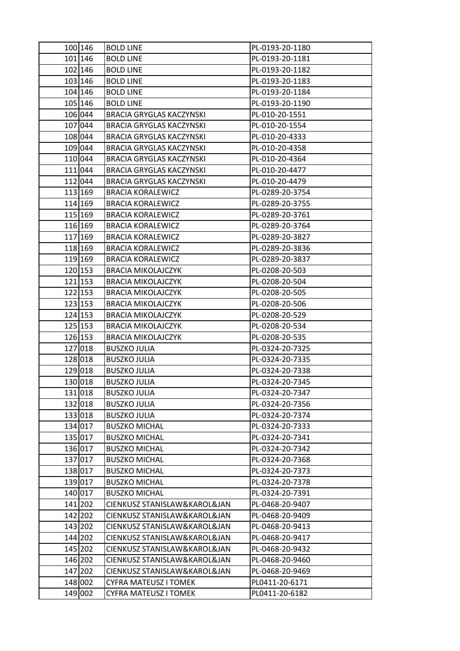| 100 146            | <b>BOLD LINE</b>                                             | PL-0193-20-1180                    |
|--------------------|--------------------------------------------------------------|------------------------------------|
| 101 146            | <b>BOLD LINE</b>                                             | PL-0193-20-1181                    |
| 102 146            | <b>BOLD LINE</b>                                             | PL-0193-20-1182                    |
| 103 146            | <b>BOLD LINE</b>                                             | PL-0193-20-1183                    |
| 104 146            | <b>BOLD LINE</b>                                             | PL-0193-20-1184                    |
| 105 146            | <b>BOLD LINE</b>                                             | PL-0193-20-1190                    |
| 106 044            | <b>BRACIA GRYGLAS KACZYNSKI</b>                              | PL-010-20-1551                     |
| 107 044            | <b>BRACIA GRYGLAS KACZYNSKI</b>                              | PL-010-20-1554                     |
| 108 044            | <b>BRACIA GRYGLAS KACZYNSKI</b>                              | PL-010-20-4333                     |
| 109 044            | <b>BRACIA GRYGLAS KACZYNSKI</b>                              | PL-010-20-4358                     |
| 110 044            | <b>BRACIA GRYGLAS KACZYNSKI</b>                              | PL-010-20-4364                     |
| 111 044            | <b>BRACIA GRYGLAS KACZYNSKI</b>                              | PL-010-20-4477                     |
| 112 044            | <b>BRACIA GRYGLAS KACZYNSKI</b>                              | PL-010-20-4479                     |
| 113 169            | <b>BRACIA KORALEWICZ</b>                                     | PL-0289-20-3754                    |
| 114 169            | <b>BRACIA KORALEWICZ</b>                                     | PL-0289-20-3755                    |
| 115 169            | <b>BRACIA KORALEWICZ</b>                                     | PL-0289-20-3761                    |
| 116 169            | <b>BRACIA KORALEWICZ</b>                                     | PL-0289-20-3764                    |
| 117 169            | <b>BRACIA KORALEWICZ</b>                                     | PL-0289-20-3827                    |
| 118 169            | <b>BRACIA KORALEWICZ</b>                                     | PL-0289-20-3836                    |
| 119 169            | <b>BRACIA KORALEWICZ</b>                                     | PL-0289-20-3837                    |
| 120 153            | <b>BRACIA MIKOLAJCZYK</b>                                    | PL-0208-20-503                     |
| 121 153            | <b>BRACIA MIKOLAJCZYK</b>                                    | PL-0208-20-504                     |
| 122 153            | <b>BRACIA MIKOLAJCZYK</b>                                    | PL-0208-20-505                     |
| 123 153            | <b>BRACIA MIKOLAJCZYK</b>                                    | PL-0208-20-506                     |
| 124 153            | <b>BRACIA MIKOLAJCZYK</b>                                    | PL-0208-20-529                     |
| 125 153            | <b>BRACIA MIKOLAJCZYK</b>                                    | PL-0208-20-534                     |
| 126 153            | <b>BRACIA MIKOLAJCZYK</b>                                    | PL-0208-20-535                     |
| 127 018            | <b>BUSZKO JULIA</b>                                          | PL-0324-20-7325                    |
| 128 018            | <b>BUSZKO JULIA</b>                                          | PL-0324-20-7335                    |
| 129 018            | <b>BUSZKO JULIA</b>                                          | PL-0324-20-7338                    |
| 130 018            | <b>BUSZKO JULIA</b>                                          | PL-0324-20-7345                    |
| 131 018            | <b>BUSZKO JULIA</b>                                          | PL-0324-20-7347                    |
| 132 018            | <b>BUSZKO JULIA</b>                                          | PL-0324-20-7356                    |
| 133 018            | <b>BUSZKO JULIA</b>                                          | PL-0324-20-7374                    |
| 134 017            | <b>BUSZKO MICHAL</b>                                         | PL-0324-20-7333                    |
| 135 017            | <b>BUSZKO MICHAL</b>                                         | PL-0324-20-7341                    |
| 136 017            | <b>BUSZKO MICHAL</b>                                         | PL-0324-20-7342                    |
| 137 017            | <b>BUSZKO MICHAL</b>                                         | PL-0324-20-7368                    |
| 138 017            | <b>BUSZKO MICHAL</b>                                         | PL-0324-20-7373                    |
| 139 017            | <b>BUSZKO MICHAL</b>                                         | PL-0324-20-7378                    |
| 140 017<br>141 202 | <b>BUSZKO MICHAL</b><br>CIENKUSZ STANISLAW&KAROL&JAN         | PL-0324-20-7391<br>PL-0468-20-9407 |
| 142 202            |                                                              |                                    |
| 143 202            | CIENKUSZ STANISLAW&KAROL&JAN<br>CIENKUSZ STANISLAW&KAROL&JAN | PL-0468-20-9409                    |
| 144 202            | CIENKUSZ STANISLAW&KAROL&JAN                                 | PL-0468-20-9413<br>PL-0468-20-9417 |
| 145 202            | CIENKUSZ STANISLAW&KAROL&JAN                                 | PL-0468-20-9432                    |
| 146 202            | CIENKUSZ STANISLAW&KAROL&JAN                                 | PL-0468-20-9460                    |
| 147 202            | CIENKUSZ STANISLAW&KAROL&JAN                                 | PL-0468-20-9469                    |
| 148 002            | CYFRA MATEUSZ I TOMEK                                        | PL0411-20-6171                     |
| 149 002            | CYFRA MATEUSZ I TOMEK                                        | PL0411-20-6182                     |
|                    |                                                              |                                    |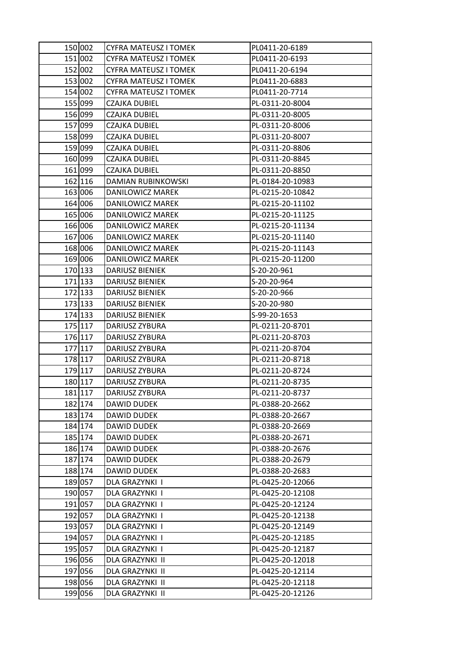| 150 002 | <b>CYFRA MATEUSZ I TOMEK</b> | PL0411-20-6189   |
|---------|------------------------------|------------------|
| 151 002 | CYFRA MATEUSZ I TOMEK        | PL0411-20-6193   |
| 152 002 | CYFRA MATEUSZ I TOMEK        | PL0411-20-6194   |
| 153 002 | CYFRA MATEUSZ I TOMEK        | PL0411-20-6883   |
| 154 002 | <b>CYFRA MATEUSZ I TOMEK</b> | PL0411-20-7714   |
| 155 099 | CZAJKA DUBIEL                | PL-0311-20-8004  |
| 156 099 | <b>CZAJKA DUBIEL</b>         | PL-0311-20-8005  |
| 157 099 | CZAJKA DUBIEL                | PL-0311-20-8006  |
| 158 099 | <b>CZAJKA DUBIEL</b>         | PL-0311-20-8007  |
| 159 099 | CZAJKA DUBIEL                | PL-0311-20-8806  |
| 160 099 | CZAJKA DUBIEL                | PL-0311-20-8845  |
| 161 099 | <b>CZAJKA DUBIEL</b>         | PL-0311-20-8850  |
| 162 116 | DAMIAN RUBINKOWSKI           | PL-0184-20-10983 |
| 163 006 | DANILOWICZ MAREK             | PL-0215-20-10842 |
| 164 006 | DANILOWICZ MAREK             | PL-0215-20-11102 |
| 165 006 | DANILOWICZ MAREK             | PL-0215-20-11125 |
| 166 006 | DANILOWICZ MAREK             | PL-0215-20-11134 |
| 167 006 | DANILOWICZ MAREK             | PL-0215-20-11140 |
| 168 006 | DANILOWICZ MAREK             | PL-0215-20-11143 |
| 169 006 | DANILOWICZ MAREK             | PL-0215-20-11200 |
| 170 133 | DARIUSZ BIENIEK              | S-20-20-961      |
| 171 133 | DARIUSZ BIENIEK              | S-20-20-964      |
| 172 133 | DARIUSZ BIENIEK              | S-20-20-966      |
| 173 133 | DARIUSZ BIENIEK              | S-20-20-980      |
| 174 133 | <b>DARIUSZ BIENIEK</b>       | S-99-20-1653     |
| 175 117 | DARIUSZ ZYBURA               | PL-0211-20-8701  |
| 176 117 | DARIUSZ ZYBURA               | PL-0211-20-8703  |
| 177 117 | DARIUSZ ZYBURA               | PL-0211-20-8704  |
| 178 117 | DARIUSZ ZYBURA               | PL-0211-20-8718  |
| 179 117 | DARIUSZ ZYBURA               | PL-0211-20-8724  |
| 180 117 | DARIUSZ ZYBURA               | PL-0211-20-8735  |
| 181 117 | DARIUSZ ZYBURA               | PL-0211-20-8737  |
| 182 174 | DAWID DUDEK                  | PL-0388-20-2662  |
| 183 174 | <b>DAWID DUDEK</b>           | PL-0388-20-2667  |
| 184 174 | <b>DAWID DUDEK</b>           | PL-0388-20-2669  |
| 185 174 | DAWID DUDEK                  | PL-0388-20-2671  |
| 186 174 | DAWID DUDEK                  | PL-0388-20-2676  |
| 187 174 | DAWID DUDEK                  | PL-0388-20-2679  |
| 188 174 | DAWID DUDEK                  | PL-0388-20-2683  |
| 189 057 | DLA GRAZYNKI I               | PL-0425-20-12066 |
| 190 057 | DLA GRAZYNKI I               | PL-0425-20-12108 |
| 191 057 | DLA GRAZYNKI I               | PL-0425-20-12124 |
| 192 057 | DLA GRAZYNKI I               | PL-0425-20-12138 |
| 193 057 | DLA GRAZYNKI I               | PL-0425-20-12149 |
| 194 057 | DLA GRAZYNKI I               | PL-0425-20-12185 |
| 195 057 | DLA GRAZYNKI I               | PL-0425-20-12187 |
| 196 056 | DLA GRAZYNKI II              | PL-0425-20-12018 |
| 197 056 | DLA GRAZYNKI II              | PL-0425-20-12114 |
| 198 056 | DLA GRAZYNKI II              | PL-0425-20-12118 |
| 199 056 | DLA GRAZYNKI II              | PL-0425-20-12126 |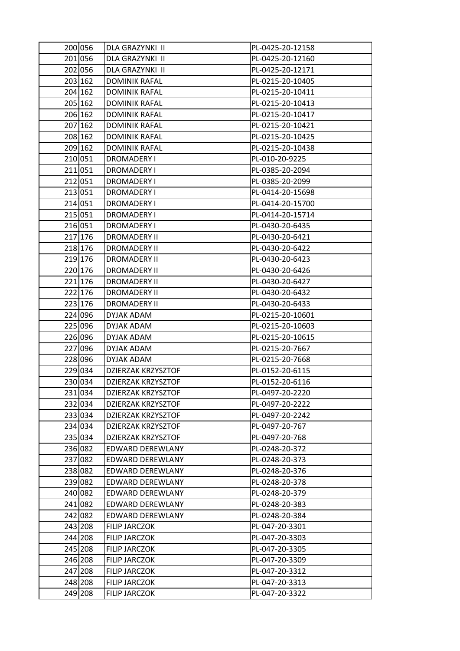| 200 056 | DLA GRAZYNKI II           | PL-0425-20-12158 |
|---------|---------------------------|------------------|
| 201 056 | DLA GRAZYNKI II           | PL-0425-20-12160 |
| 202 056 | DLA GRAZYNKI II           | PL-0425-20-12171 |
| 203 162 | <b>DOMINIK RAFAL</b>      | PL-0215-20-10405 |
| 204 162 | <b>DOMINIK RAFAL</b>      | PL-0215-20-10411 |
| 205 162 | <b>DOMINIK RAFAL</b>      | PL-0215-20-10413 |
| 206 162 | <b>DOMINIK RAFAL</b>      | PL-0215-20-10417 |
| 207 162 | <b>DOMINIK RAFAL</b>      | PL-0215-20-10421 |
| 208 162 | <b>DOMINIK RAFAL</b>      | PL-0215-20-10425 |
| 209 162 | <b>DOMINIK RAFAL</b>      | PL-0215-20-10438 |
| 210 051 | DROMADERY I               | PL-010-20-9225   |
| 211 051 | DROMADERY I               | PL-0385-20-2094  |
| 212 051 | DROMADERY I               | PL-0385-20-2099  |
| 213 051 | <b>DROMADERY I</b>        | PL-0414-20-15698 |
| 214 051 | DROMADERY I               | PL-0414-20-15700 |
| 215 051 | DROMADERY I               | PL-0414-20-15714 |
| 216 051 | <b>DROMADERY I</b>        | PL-0430-20-6435  |
| 217 176 | <b>DROMADERY II</b>       | PL-0430-20-6421  |
| 218 176 | <b>DROMADERY II</b>       | PL-0430-20-6422  |
| 219 176 | <b>DROMADERY II</b>       | PL-0430-20-6423  |
| 220 176 | <b>DROMADERY II</b>       | PL-0430-20-6426  |
| 221 176 | <b>DROMADERY II</b>       | PL-0430-20-6427  |
| 222 176 | <b>DROMADERY II</b>       | PL-0430-20-6432  |
| 223 176 | <b>DROMADERY II</b>       | PL-0430-20-6433  |
| 224 096 | DYJAK ADAM                | PL-0215-20-10601 |
| 225 096 | DYJAK ADAM                | PL-0215-20-10603 |
| 226 096 | DYJAK ADAM                | PL-0215-20-10615 |
| 227 096 | DYJAK ADAM                | PL-0215-20-7667  |
| 228 096 | DYJAK ADAM                | PL-0215-20-7668  |
| 229 034 | DZIERZAK KRZYSZTOF        | PL-0152-20-6115  |
| 230 034 | DZIERZAK KRZYSZTOF        | PL-0152-20-6116  |
| 231 034 | <b>DZIERZAK KRZYSZTOF</b> | PL-0497-20-2220  |
| 232 034 | DZIERZAK KRZYSZTOF        | PL-0497-20-2222  |
| 233 034 | <b>DZIERZAK KRZYSZTOF</b> | PL-0497-20-2242  |
| 234 034 | DZIERZAK KRZYSZTOF        | PL-0497-20-767   |
| 235 034 | DZIERZAK KRZYSZTOF        | PL-0497-20-768   |
| 236 082 | EDWARD DEREWLANY          | PL-0248-20-372   |
| 237 082 | <b>EDWARD DEREWLANY</b>   | PL-0248-20-373   |
| 238 082 | EDWARD DEREWLANY          | PL-0248-20-376   |
| 239 082 | EDWARD DEREWLANY          | PL-0248-20-378   |
| 240 082 | EDWARD DEREWLANY          | PL-0248-20-379   |
| 241 082 | EDWARD DEREWLANY          | PL-0248-20-383   |
| 242 082 | EDWARD DEREWLANY          | PL-0248-20-384   |
| 243 208 | <b>FILIP JARCZOK</b>      | PL-047-20-3301   |
| 244 208 | <b>FILIP JARCZOK</b>      | PL-047-20-3303   |
| 245 208 | <b>FILIP JARCZOK</b>      | PL-047-20-3305   |
| 246 208 | <b>FILIP JARCZOK</b>      | PL-047-20-3309   |
| 247 208 | <b>FILIP JARCZOK</b>      | PL-047-20-3312   |
| 248 208 | <b>FILIP JARCZOK</b>      | PL-047-20-3313   |
| 249 208 | FILIP JARCZOK             | PL-047-20-3322   |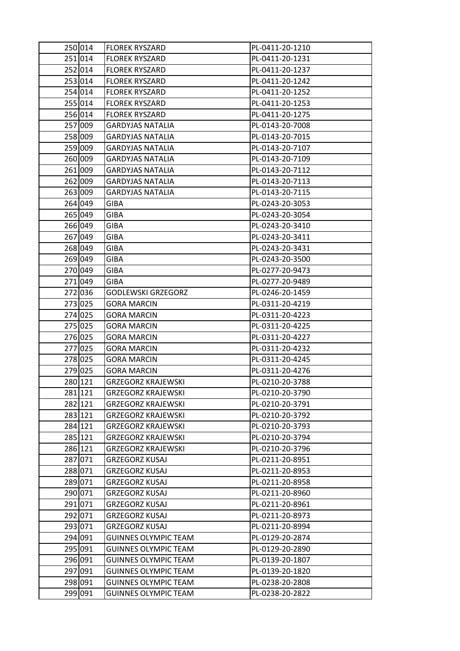| 250 014 | <b>FLOREK RYSZARD</b>       | PL-0411-20-1210 |
|---------|-----------------------------|-----------------|
| 251 014 | <b>FLOREK RYSZARD</b>       | PL-0411-20-1231 |
| 252 014 | <b>FLOREK RYSZARD</b>       | PL-0411-20-1237 |
| 253 014 | <b>FLOREK RYSZARD</b>       | PL-0411-20-1242 |
| 254 014 | <b>FLOREK RYSZARD</b>       | PL-0411-20-1252 |
| 255 014 | <b>FLOREK RYSZARD</b>       | PL-0411-20-1253 |
| 256 014 | <b>FLOREK RYSZARD</b>       | PL-0411-20-1275 |
| 257 009 | <b>GARDYJAS NATALIA</b>     | PL-0143-20-7008 |
| 258 009 | <b>GARDYJAS NATALIA</b>     | PL-0143-20-7015 |
| 259 009 | <b>GARDYJAS NATALIA</b>     | PL-0143-20-7107 |
| 260 009 | GARDYJAS NATALIA            | PL-0143-20-7109 |
| 261 009 | <b>GARDYJAS NATALIA</b>     | PL-0143-20-7112 |
| 262 009 | <b>GARDYJAS NATALIA</b>     | PL-0143-20-7113 |
| 263 009 | <b>GARDYJAS NATALIA</b>     | PL-0143-20-7115 |
| 264 049 | GIBA                        | PL-0243-20-3053 |
| 265 049 | GIBA                        | PL-0243-20-3054 |
| 266 049 | <b>GIBA</b>                 | PL-0243-20-3410 |
| 267 049 | GIBA                        | PL-0243-20-3411 |
| 268 049 | GIBA                        | PL-0243-20-3431 |
| 269 049 | GIBA                        | PL-0243-20-3500 |
| 270 049 | GIBA                        | PL-0277-20-9473 |
| 271 049 | <b>GIBA</b>                 | PL-0277-20-9489 |
| 272 036 | <b>GODLEWSKI GRZEGORZ</b>   | PL-0246-20-1459 |
| 273 025 | <b>GORA MARCIN</b>          | PL-0311-20-4219 |
| 274 025 | <b>GORA MARCIN</b>          | PL-0311-20-4223 |
| 275 025 | GORA MARCIN                 | PL-0311-20-4225 |
| 276 025 | <b>GORA MARCIN</b>          | PL-0311-20-4227 |
| 277 025 | <b>GORA MARCIN</b>          | PL-0311-20-4232 |
| 278 025 | <b>GORA MARCIN</b>          | PL-0311-20-4245 |
| 279 025 | <b>GORA MARCIN</b>          | PL-0311-20-4276 |
| 280 121 | GRZEGORZ KRAJEWSKI          | PL-0210-20-3788 |
| 281 121 | <b>GRZEGORZ KRAJEWSKI</b>   | PL-0210-20-3790 |
| 282 121 | GRZEGORZ KRAJEWSKI          | PL-0210-20-3791 |
| 283 121 | <b>GRZEGORZ KRAJEWSKI</b>   | PL-0210-20-3792 |
| 284 121 | <b>GRZEGORZ KRAJEWSKI</b>   | PL-0210-20-3793 |
| 285 121 | GRZEGORZ KRAJEWSKI          | PL-0210-20-3794 |
| 286 121 | <b>GRZEGORZ KRAJEWSKI</b>   | PL-0210-20-3796 |
| 287 071 | GRZEGORZ KUSAJ              | PL-0211-20-8951 |
| 288 071 | <b>GRZEGORZ KUSAJ</b>       | PL-0211-20-8953 |
| 289 071 | <b>GRZEGORZ KUSAJ</b>       | PL-0211-20-8958 |
| 290 071 | GRZEGORZ KUSAJ              | PL-0211-20-8960 |
| 291 071 | <b>GRZEGORZ KUSAJ</b>       | PL-0211-20-8961 |
| 292 071 | GRZEGORZ KUSAJ              | PL-0211-20-8973 |
| 293 071 | <b>GRZEGORZ KUSAJ</b>       | PL-0211-20-8994 |
| 294 091 | <b>GUINNES OLYMPIC TEAM</b> | PL-0129-20-2874 |
| 295 091 | <b>GUINNES OLYMPIC TEAM</b> | PL-0129-20-2890 |
| 296 091 | <b>GUINNES OLYMPIC TEAM</b> | PL-0139-20-1807 |
| 297 091 | <b>GUINNES OLYMPIC TEAM</b> | PL-0139-20-1820 |
| 298 091 | <b>GUINNES OLYMPIC TEAM</b> | PL-0238-20-2808 |
| 299 091 | <b>GUINNES OLYMPIC TEAM</b> | PL-0238-20-2822 |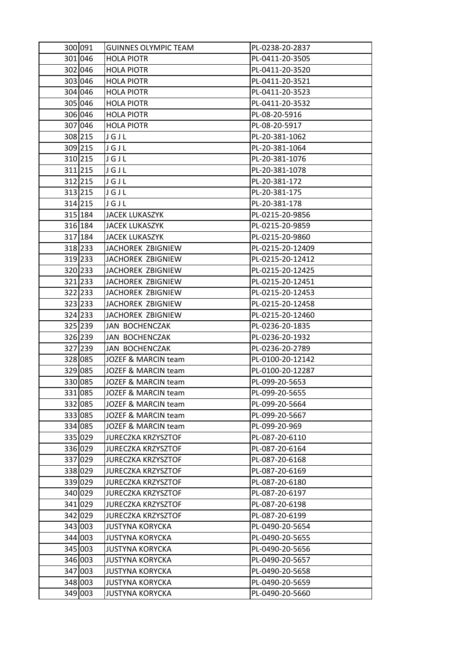| 300 091 | <b>GUINNES OLYMPIC TEAM</b> | PL-0238-20-2837  |
|---------|-----------------------------|------------------|
| 301 046 | <b>HOLA PIOTR</b>           | PL-0411-20-3505  |
| 302 046 | <b>HOLA PIOTR</b>           | PL-0411-20-3520  |
| 303 046 | <b>HOLA PIOTR</b>           | PL-0411-20-3521  |
| 304 046 | <b>HOLA PIOTR</b>           | PL-0411-20-3523  |
| 305 046 | <b>HOLA PIOTR</b>           | PL-0411-20-3532  |
| 306 046 | <b>HOLA PIOTR</b>           | PL-08-20-5916    |
| 307 046 | <b>HOLA PIOTR</b>           | PL-08-20-5917    |
| 308 215 | JGJL                        | PL-20-381-1062   |
| 309 215 | JGJL                        | PL-20-381-1064   |
| 310 215 | JGJL                        | PL-20-381-1076   |
| 311 215 | JGJL                        | PL-20-381-1078   |
| 312 215 | JGJL                        | PL-20-381-172    |
| 313 215 | JGJL                        | PL-20-381-175    |
| 314 215 | JGJL                        | PL-20-381-178    |
| 315 184 | <b>JACEK LUKASZYK</b>       | PL-0215-20-9856  |
| 316 184 | <b>JACEK LUKASZYK</b>       | PL-0215-20-9859  |
| 317 184 | <b>JACEK LUKASZYK</b>       | PL-0215-20-9860  |
| 318 233 | JACHOREK ZBIGNIEW           | PL-0215-20-12409 |
| 319 233 | JACHOREK ZBIGNIEW           | PL-0215-20-12412 |
| 320 233 | JACHOREK ZBIGNIEW           | PL-0215-20-12425 |
| 321 233 | JACHOREK ZBIGNIEW           | PL-0215-20-12451 |
| 322 233 | JACHOREK ZBIGNIEW           | PL-0215-20-12453 |
| 323 233 | JACHOREK ZBIGNIEW           | PL-0215-20-12458 |
| 324 233 | JACHOREK ZBIGNIEW           | PL-0215-20-12460 |
| 325 239 | JAN BOCHENCZAK              | PL-0236-20-1835  |
| 326 239 | JAN BOCHENCZAK              | PL-0236-20-1932  |
| 327 239 | JAN BOCHENCZAK              | PL-0236-20-2789  |
| 328 085 | JOZEF & MARCIN team         | PL-0100-20-12142 |
| 329 085 | JOZEF & MARCIN team         | PL-0100-20-12287 |
| 330 085 | JOZEF & MARCIN team         | PL-099-20-5653   |
| 331 085 | JOZEF & MARCIN team         | PL-099-20-5655   |
| 332 085 | JOZEF & MARCIN team         | PL-099-20-5664   |
| 333 085 | JOZEF & MARCIN team         | PL-099-20-5667   |
| 334 085 | JOZEF & MARCIN team         | PL-099-20-969    |
| 335 029 | <b>JURECZKA KRZYSZTOF</b>   | PL-087-20-6110   |
| 336 029 | <b>JURECZKA KRZYSZTOF</b>   | PL-087-20-6164   |
| 337 029 | <b>JURECZKA KRZYSZTOF</b>   | PL-087-20-6168   |
| 338 029 | JURECZKA KRZYSZTOF          | PL-087-20-6169   |
| 339 029 | JURECZKA KRZYSZTOF          | PL-087-20-6180   |
| 340 029 | <b>JURECZKA KRZYSZTOF</b>   | PL-087-20-6197   |
| 341 029 | <b>JURECZKA KRZYSZTOF</b>   | PL-087-20-6198   |
| 342 029 | <b>JURECZKA KRZYSZTOF</b>   | PL-087-20-6199   |
| 343 003 | <b>JUSTYNA KORYCKA</b>      | PL-0490-20-5654  |
| 344 003 | <b>JUSTYNA KORYCKA</b>      | PL-0490-20-5655  |
| 345 003 | <b>JUSTYNA KORYCKA</b>      | PL-0490-20-5656  |
| 346 003 | <b>JUSTYNA KORYCKA</b>      | PL-0490-20-5657  |
| 347 003 | <b>JUSTYNA KORYCKA</b>      | PL-0490-20-5658  |
| 348 003 | <b>JUSTYNA KORYCKA</b>      | PL-0490-20-5659  |
| 349 003 | <b>JUSTYNA KORYCKA</b>      | PL-0490-20-5660  |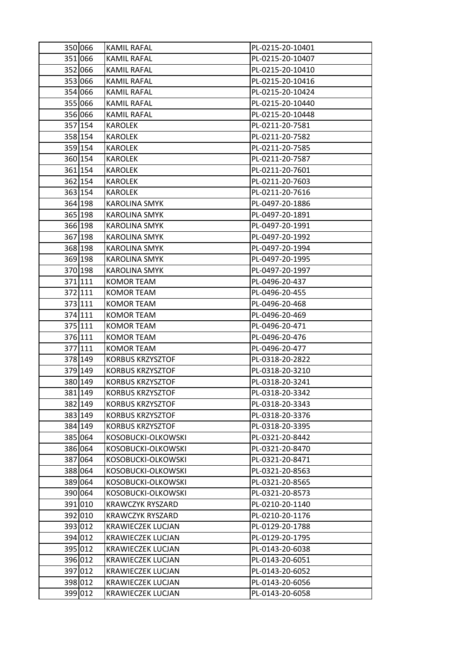| 350 066 | <b>KAMIL RAFAL</b>       | PL-0215-20-10401 |
|---------|--------------------------|------------------|
| 351 066 | <b>KAMIL RAFAL</b>       | PL-0215-20-10407 |
| 352 066 | <b>KAMIL RAFAL</b>       | PL-0215-20-10410 |
| 353 066 | KAMIL RAFAL              | PL-0215-20-10416 |
| 354 066 | <b>KAMIL RAFAL</b>       | PL-0215-20-10424 |
| 355 066 | <b>KAMIL RAFAL</b>       | PL-0215-20-10440 |
| 356 066 | <b>KAMIL RAFAL</b>       | PL-0215-20-10448 |
| 357 154 | <b>KAROLEK</b>           | PL-0211-20-7581  |
| 358 154 | KAROLEK                  | PL-0211-20-7582  |
| 359 154 | KAROLEK                  | PL-0211-20-7585  |
| 360 154 | KAROLEK                  | PL-0211-20-7587  |
| 361 154 | KAROLEK                  | PL-0211-20-7601  |
| 362 154 | <b>KAROLEK</b>           | PL-0211-20-7603  |
| 363 154 | <b>KAROLEK</b>           | PL-0211-20-7616  |
| 364 198 | <b>KAROLINA SMYK</b>     | PL-0497-20-1886  |
| 365 198 | KAROLINA SMYK            | PL-0497-20-1891  |
| 366 198 | <b>KAROLINA SMYK</b>     | PL-0497-20-1991  |
| 367 198 | <b>KAROLINA SMYK</b>     | PL-0497-20-1992  |
| 368 198 | KAROLINA SMYK            | PL-0497-20-1994  |
| 369 198 | <b>KAROLINA SMYK</b>     | PL-0497-20-1995  |
| 370 198 | KAROLINA SMYK            | PL-0497-20-1997  |
| 371 111 | KOMOR TEAM               | PL-0496-20-437   |
| 372 111 | KOMOR TEAM               | PL-0496-20-455   |
| 373 111 | KOMOR TEAM               | PL-0496-20-468   |
| 374 111 | KOMOR TEAM               | PL-0496-20-469   |
| 375 111 | KOMOR TEAM               | PL-0496-20-471   |
| 376 111 | KOMOR TEAM               | PL-0496-20-476   |
| 377 111 | KOMOR TEAM               | PL-0496-20-477   |
| 378 149 | <b>KORBUS KRZYSZTOF</b>  | PL-0318-20-2822  |
| 379 149 | <b>KORBUS KRZYSZTOF</b>  | PL-0318-20-3210  |
| 380 149 | <b>KORBUS KRZYSZTOF</b>  | PL-0318-20-3241  |
| 381 149 | <b>KORBUS KRZYSZTOF</b>  | PL-0318-20-3342  |
| 382 149 | <b>KORBUS KRZYSZTOF</b>  | PL-0318-20-3343  |
| 383 149 | <b>KORBUS KRZYSZTOF</b>  | PL-0318-20-3376  |
| 384 149 | <b>KORBUS KRZYSZTOF</b>  | PL-0318-20-3395  |
| 385 064 | KOSOBUCKI-OLKOWSKI       | PL-0321-20-8442  |
| 386 064 | KOSOBUCKI-OLKOWSKI       | PL-0321-20-8470  |
| 387 064 | KOSOBUCKI-OLKOWSKI       | PL-0321-20-8471  |
| 388 064 | KOSOBUCKI-OLKOWSKI       | PL-0321-20-8563  |
| 389 064 | KOSOBUCKI-OLKOWSKI       | PL-0321-20-8565  |
| 390 064 | KOSOBUCKI-OLKOWSKI       | PL-0321-20-8573  |
| 391 010 | <b>KRAWCZYK RYSZARD</b>  | PL-0210-20-1140  |
| 392 010 | <b>KRAWCZYK RYSZARD</b>  | PL-0210-20-1176  |
| 393 012 | <b>KRAWIECZEK LUCJAN</b> | PL-0129-20-1788  |
| 394 012 | <b>KRAWIECZEK LUCJAN</b> | PL-0129-20-1795  |
| 395 012 | <b>KRAWIECZEK LUCJAN</b> | PL-0143-20-6038  |
| 396 012 | <b>KRAWIECZEK LUCJAN</b> | PL-0143-20-6051  |
| 397 012 | <b>KRAWIECZEK LUCJAN</b> | PL-0143-20-6052  |
| 398 012 | <b>KRAWIECZEK LUCJAN</b> | PL-0143-20-6056  |
| 399 012 | <b>KRAWIECZEK LUCJAN</b> | PL-0143-20-6058  |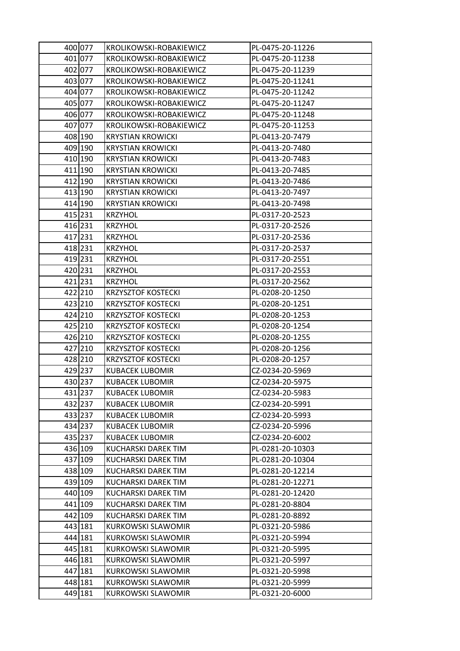| 400 077 | KROLIKOWSKI-ROBAKIEWICZ    | PL-0475-20-11226 |
|---------|----------------------------|------------------|
| 401 077 | KROLIKOWSKI-ROBAKIEWICZ    | PL-0475-20-11238 |
| 402 077 | KROLIKOWSKI-ROBAKIEWICZ    | PL-0475-20-11239 |
| 403 077 | KROLIKOWSKI-ROBAKIEWICZ    | PL-0475-20-11241 |
| 404 077 | KROLIKOWSKI-ROBAKIEWICZ    | PL-0475-20-11242 |
| 405 077 | KROLIKOWSKI-ROBAKIEWICZ    | PL-0475-20-11247 |
| 406 077 | KROLIKOWSKI-ROBAKIEWICZ    | PL-0475-20-11248 |
| 407 077 | KROLIKOWSKI-ROBAKIEWICZ    | PL-0475-20-11253 |
| 408 190 | <b>KRYSTIAN KROWICKI</b>   | PL-0413-20-7479  |
| 409 190 | <b>KRYSTIAN KROWICKI</b>   | PL-0413-20-7480  |
| 410 190 | <b>KRYSTIAN KROWICKI</b>   | PL-0413-20-7483  |
| 411 190 | <b>KRYSTIAN KROWICKI</b>   | PL-0413-20-7485  |
| 412 190 | <b>KRYSTIAN KROWICKI</b>   | PL-0413-20-7486  |
| 413 190 | <b>KRYSTIAN KROWICKI</b>   | PL-0413-20-7497  |
| 414 190 | <b>KRYSTIAN KROWICKI</b>   | PL-0413-20-7498  |
| 415 231 | <b>KRZYHOL</b>             | PL-0317-20-2523  |
| 416 231 | <b>KRZYHOL</b>             | PL-0317-20-2526  |
| 417 231 | <b>KRZYHOL</b>             | PL-0317-20-2536  |
| 418 231 | <b>KRZYHOL</b>             | PL-0317-20-2537  |
| 419 231 | <b>KRZYHOL</b>             | PL-0317-20-2551  |
| 420 231 | <b>KRZYHOL</b>             | PL-0317-20-2553  |
| 421 231 | <b>KRZYHOL</b>             | PL-0317-20-2562  |
| 422 210 | <b>KRZYSZTOF KOSTECKI</b>  | PL-0208-20-1250  |
| 423 210 | <b>KRZYSZTOF KOSTECKI</b>  | PL-0208-20-1251  |
| 424 210 | <b>KRZYSZTOF KOSTECKI</b>  | PL-0208-20-1253  |
| 425 210 | <b>KRZYSZTOF KOSTECKI</b>  | PL-0208-20-1254  |
| 426 210 | <b>KRZYSZTOF KOSTECKI</b>  | PL-0208-20-1255  |
| 427 210 | <b>KRZYSZTOF KOSTECKI</b>  | PL-0208-20-1256  |
| 428 210 | <b>KRZYSZTOF KOSTECKI</b>  | PL-0208-20-1257  |
| 429 237 | <b>KUBACEK LUBOMIR</b>     | CZ-0234-20-5969  |
| 430 237 | KUBACEK LUBOMIR            | CZ-0234-20-5975  |
| 431 237 | <b>KUBACEK LUBOMIR</b>     | CZ-0234-20-5983  |
| 432 237 | KUBACEK LUBOMIR            | CZ-0234-20-5991  |
| 433 237 | KUBACEK LUBOMIR            | CZ-0234-20-5993  |
| 434 237 | <b>KUBACEK LUBOMIR</b>     | CZ-0234-20-5996  |
| 435 237 | <b>KUBACEK LUBOMIR</b>     | CZ-0234-20-6002  |
| 436 109 | <b>KUCHARSKI DAREK TIM</b> | PL-0281-20-10303 |
| 437 109 | KUCHARSKI DAREK TIM        | PL-0281-20-10304 |
| 438 109 | <b>KUCHARSKI DAREK TIM</b> | PL-0281-20-12214 |
| 439 109 | KUCHARSKI DAREK TIM        | PL-0281-20-12271 |
| 440 109 | KUCHARSKI DAREK TIM        | PL-0281-20-12420 |
| 441 109 | KUCHARSKI DAREK TIM        | PL-0281-20-8804  |
| 442 109 | KUCHARSKI DAREK TIM        | PL-0281-20-8892  |
| 443 181 | <b>KURKOWSKI SLAWOMIR</b>  | PL-0321-20-5986  |
| 444 181 | <b>KURKOWSKI SLAWOMIR</b>  | PL-0321-20-5994  |
| 445 181 | <b>KURKOWSKI SLAWOMIR</b>  | PL-0321-20-5995  |
| 446 181 | <b>KURKOWSKI SLAWOMIR</b>  | PL-0321-20-5997  |
| 447 181 | KURKOWSKI SLAWOMIR         | PL-0321-20-5998  |
| 448 181 | KURKOWSKI SLAWOMIR         | PL-0321-20-5999  |
| 449 181 | KURKOWSKI SLAWOMIR         | PL-0321-20-6000  |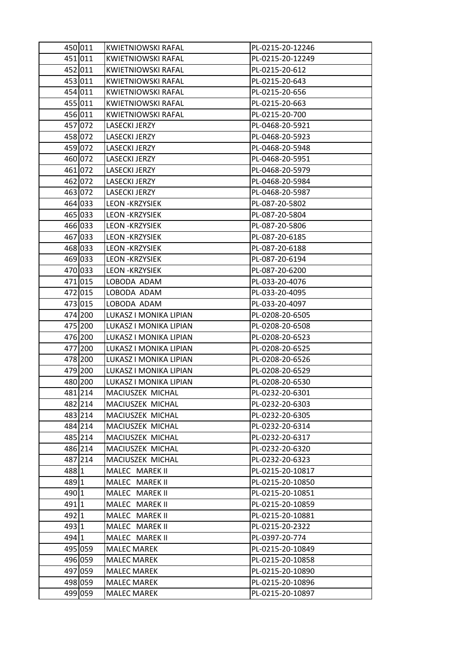|               | 450 011 | <b>KWIETNIOWSKI RAFAL</b> | PL-0215-20-12246 |
|---------------|---------|---------------------------|------------------|
|               | 451 011 | <b>KWIETNIOWSKI RAFAL</b> | PL-0215-20-12249 |
|               | 452 011 | KWIETNIOWSKI RAFAL        | PL-0215-20-612   |
|               | 453 011 | KWIETNIOWSKI RAFAL        | PL-0215-20-643   |
|               | 454 011 | KWIETNIOWSKI RAFAL        | PL-0215-20-656   |
|               | 455 011 | KWIETNIOWSKI RAFAL        | PL-0215-20-663   |
|               | 456 011 | KWIETNIOWSKI RAFAL        | PL-0215-20-700   |
|               | 457 072 | LASECKI JERZY             | PL-0468-20-5921  |
|               | 458 072 | LASECKI JERZY             | PL-0468-20-5923  |
|               | 459 072 | LASECKI JERZY             | PL-0468-20-5948  |
|               | 460 072 | LASECKI JERZY             | PL-0468-20-5951  |
|               | 461 072 | LASECKI JERZY             | PL-0468-20-5979  |
|               | 462 072 | LASECKI JERZY             | PL-0468-20-5984  |
|               | 463 072 | LASECKI JERZY             | PL-0468-20-5987  |
|               | 464 033 | <b>LEON -KRZYSIEK</b>     | PL-087-20-5802   |
|               | 465 033 | <b>LEON -KRZYSIEK</b>     | PL-087-20-5804   |
|               | 466 033 | <b>LEON -KRZYSIEK</b>     | PL-087-20-5806   |
|               | 467 033 | <b>LEON - KRZYSIEK</b>    | PL-087-20-6185   |
|               | 468 033 | <b>LEON -KRZYSIEK</b>     | PL-087-20-6188   |
|               | 469 033 | <b>LEON - KRZYSIEK</b>    | PL-087-20-6194   |
|               | 470 033 | <b>LEON -KRZYSIEK</b>     | PL-087-20-6200   |
|               | 471 015 | LOBODA ADAM               | PL-033-20-4076   |
|               | 472 015 | LOBODA ADAM               | PL-033-20-4095   |
|               | 473 015 | LOBODA ADAM               | PL-033-20-4097   |
|               | 474 200 | LUKASZ I MONIKA LIPIAN    | PL-0208-20-6505  |
|               | 475 200 | LUKASZ I MONIKA LIPIAN    | PL-0208-20-6508  |
|               | 476 200 | LUKASZ I MONIKA LIPIAN    | PL-0208-20-6523  |
|               | 477 200 | LUKASZ I MONIKA LIPIAN    | PL-0208-20-6525  |
|               | 478 200 | LUKASZ I MONIKA LIPIAN    | PL-0208-20-6526  |
|               | 479 200 | LUKASZ I MONIKA LIPIAN    | PL-0208-20-6529  |
|               | 480 200 | LUKASZ I MONIKA LIPIAN    | PL-0208-20-6530  |
|               | 481 214 | MACIUSZEK MICHAL          | PL-0232-20-6301  |
|               | 482 214 | MACIUSZEK MICHAL          | PL-0232-20-6303  |
|               | 483 214 | MACIUSZEK MICHAL          | PL-0232-20-6305  |
|               | 484 214 | MACIUSZEK MICHAL          | PL-0232-20-6314  |
|               | 485 214 | MACIUSZEK MICHAL          | PL-0232-20-6317  |
|               | 486 214 | MACIUSZEK MICHAL          | PL-0232-20-6320  |
|               | 487 214 | MACIUSZEK MICHAL          | PL-0232-20-6323  |
| 488 1         |         | MALEC MAREK II            | PL-0215-20-10817 |
| 489 1         |         | MALEC MAREK II            | PL-0215-20-10850 |
| 490 1         |         | MALEC MAREK II            | PL-0215-20-10851 |
| 491 1         |         | MALEC MAREK II            | PL-0215-20-10859 |
| 492 1         |         | MALEC MAREK II            | PL-0215-20-10881 |
| 493 1         |         | MALEC MAREK II            | PL-0215-20-2322  |
| $494 \vert 1$ |         | MALEC MAREK II            | PL-0397-20-774   |
|               | 495 059 | <b>MALEC MAREK</b>        | PL-0215-20-10849 |
|               | 496 059 | <b>MALEC MAREK</b>        | PL-0215-20-10858 |
|               | 497 059 | <b>MALEC MAREK</b>        | PL-0215-20-10890 |
|               | 498 059 | <b>MALEC MAREK</b>        | PL-0215-20-10896 |
|               | 499 059 | <b>MALEC MAREK</b>        | PL-0215-20-10897 |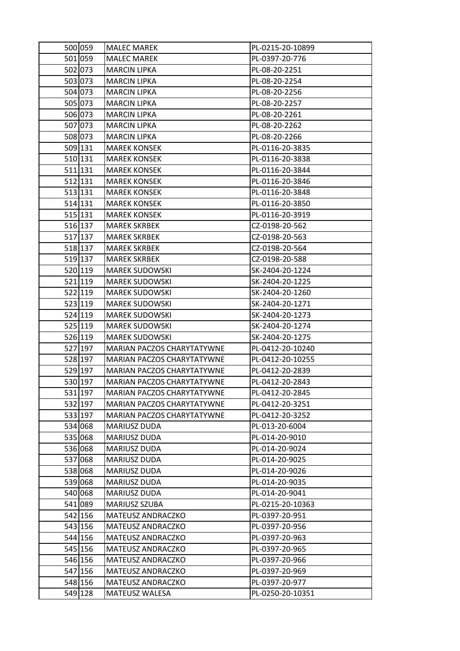| 500 059 | <b>MALEC MAREK</b>                | PL-0215-20-10899 |
|---------|-----------------------------------|------------------|
| 501 059 | <b>MALEC MAREK</b>                | PL-0397-20-776   |
| 502 073 | <b>MARCIN LIPKA</b>               | PL-08-20-2251    |
| 503 073 | <b>MARCIN LIPKA</b>               | PL-08-20-2254    |
| 504 073 | <b>MARCIN LIPKA</b>               | PL-08-20-2256    |
| 505 073 | <b>MARCIN LIPKA</b>               | PL-08-20-2257    |
| 506 073 | <b>MARCIN LIPKA</b>               | PL-08-20-2261    |
| 507 073 | <b>MARCIN LIPKA</b>               | PL-08-20-2262    |
| 508 073 | <b>MARCIN LIPKA</b>               | PL-08-20-2266    |
| 509 131 | <b>MAREK KONSEK</b>               | PL-0116-20-3835  |
| 510 131 | <b>MAREK KONSEK</b>               | PL-0116-20-3838  |
| 511 131 | <b>MAREK KONSEK</b>               | PL-0116-20-3844  |
| 512 131 | <b>MAREK KONSEK</b>               | PL-0116-20-3846  |
| 513 131 | <b>MAREK KONSEK</b>               | PL-0116-20-3848  |
| 514 131 | <b>MAREK KONSEK</b>               | PL-0116-20-3850  |
| 515 131 | <b>MAREK KONSEK</b>               | PL-0116-20-3919  |
| 516 137 | <b>MAREK SKRBEK</b>               | CZ-0198-20-562   |
| 517 137 | <b>MAREK SKRBEK</b>               | CZ-0198-20-563   |
| 518 137 | <b>MAREK SKRBEK</b>               | CZ-0198-20-564   |
| 519 137 | <b>MAREK SKRBEK</b>               | CZ-0198-20-588   |
| 520 119 | <b>MAREK SUDOWSKI</b>             | SK-2404-20-1224  |
| 521 119 | <b>MAREK SUDOWSKI</b>             | SK-2404-20-1225  |
| 522 119 | <b>MAREK SUDOWSKI</b>             | SK-2404-20-1260  |
| 523 119 | <b>MAREK SUDOWSKI</b>             | SK-2404-20-1271  |
| 524 119 | <b>MAREK SUDOWSKI</b>             | SK-2404-20-1273  |
| 525 119 | <b>MAREK SUDOWSKI</b>             | SK-2404-20-1274  |
| 526 119 | <b>MAREK SUDOWSKI</b>             | SK-2404-20-1275  |
| 527 197 | MARIAN PACZOS CHARYTATYWNE        | PL-0412-20-10240 |
| 528 197 | MARIAN PACZOS CHARYTATYWNE        | PL-0412-20-10255 |
| 529 197 | MARIAN PACZOS CHARYTATYWNE        | PL-0412-20-2839  |
| 530 197 | MARIAN PACZOS CHARYTATYWNE        | PL-0412-20-2843  |
| 531 197 | <b>MARIAN PACZOS CHARYTATYWNE</b> | PL-0412-20-2845  |
| 532 197 | MARIAN PACZOS CHARYTATYWNE        | PL-0412-20-3251  |
| 533 197 | MARIAN PACZOS CHARYTATYWNE        | PL-0412-20-3252  |
| 534 068 | MARIUSZ DUDA                      | PL-013-20-6004   |
| 535 068 | MARIUSZ DUDA                      | PL-014-20-9010   |
| 536 068 | MARIUSZ DUDA                      | PL-014-20-9024   |
| 537 068 | MARIUSZ DUDA                      | PL-014-20-9025   |
| 538 068 | MARIUSZ DUDA                      | PL-014-20-9026   |
| 539 068 | <b>MARIUSZ DUDA</b>               | PL-014-20-9035   |
| 540 068 | MARIUSZ DUDA                      | PL-014-20-9041   |
| 541 089 | MARIUSZ SZUBA                     | PL-0215-20-10363 |
| 542 156 | MATEUSZ ANDRACZKO                 | PL-0397-20-951   |
| 543 156 | MATEUSZ ANDRACZKO                 | PL-0397-20-956   |
| 544 156 | MATEUSZ ANDRACZKO                 | PL-0397-20-963   |
| 545 156 | MATEUSZ ANDRACZKO                 | PL-0397-20-965   |
| 546 156 | MATEUSZ ANDRACZKO                 | PL-0397-20-966   |
| 547 156 | MATEUSZ ANDRACZKO                 | PL-0397-20-969   |
| 548 156 | MATEUSZ ANDRACZKO                 | PL-0397-20-977   |
| 549 128 | MATEUSZ WALESA                    | PL-0250-20-10351 |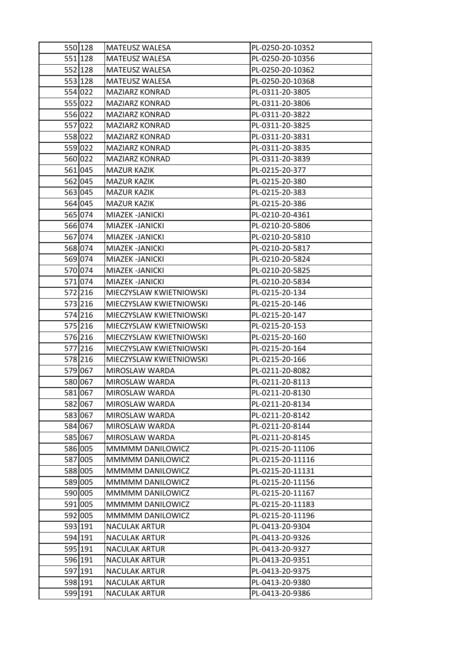| 550 128 | MATEUSZ WALESA          | PL-0250-20-10352 |
|---------|-------------------------|------------------|
| 551 128 | MATEUSZ WALESA          | PL-0250-20-10356 |
| 552 128 | MATEUSZ WALESA          | PL-0250-20-10362 |
| 553 128 | MATEUSZ WALESA          | PL-0250-20-10368 |
| 554 022 | <b>MAZIARZ KONRAD</b>   | PL-0311-20-3805  |
| 555 022 | <b>MAZIARZ KONRAD</b>   | PL-0311-20-3806  |
| 556 022 | MAZIARZ KONRAD          | PL-0311-20-3822  |
| 557 022 | <b>MAZIARZ KONRAD</b>   | PL-0311-20-3825  |
| 558 022 | MAZIARZ KONRAD          | PL-0311-20-3831  |
| 559 022 | <b>MAZIARZ KONRAD</b>   | PL-0311-20-3835  |
| 560 022 | <b>MAZIARZ KONRAD</b>   | PL-0311-20-3839  |
| 561 045 | MAZUR KAZIK             | PL-0215-20-377   |
| 562 045 | MAZUR KAZIK             | PL-0215-20-380   |
| 563 045 | <b>MAZUR KAZIK</b>      | PL-0215-20-383   |
| 564 045 | <b>MAZUR KAZIK</b>      | PL-0215-20-386   |
| 565 074 | MIAZEK - JANICKI        | PL-0210-20-4361  |
| 566 074 | MIAZEK -JANICKI         | PL-0210-20-5806  |
| 567 074 | MIAZEK -JANICKI         | PL-0210-20-5810  |
| 568 074 | MIAZEK -JANICKI         | PL-0210-20-5817  |
| 569 074 | MIAZEK - JANICKI        | PL-0210-20-5824  |
| 570 074 | MIAZEK - JANICKI        | PL-0210-20-5825  |
| 571074  | MIAZEK -JANICKI         | PL-0210-20-5834  |
| 572 216 | MIECZYSLAW KWIETNIOWSKI | PL-0215-20-134   |
| 573 216 | MIECZYSLAW KWIETNIOWSKI | PL-0215-20-146   |
| 574 216 | MIECZYSLAW KWIETNIOWSKI | PL-0215-20-147   |
| 575 216 | MIECZYSLAW KWIETNIOWSKI | PL-0215-20-153   |
| 576 216 | MIECZYSLAW KWIETNIOWSKI | PL-0215-20-160   |
| 577 216 | MIECZYSLAW KWIETNIOWSKI | PL-0215-20-164   |
| 578 216 | MIECZYSLAW KWIETNIOWSKI | PL-0215-20-166   |
| 579 067 | MIROSLAW WARDA          | PL-0211-20-8082  |
| 580 067 | MIROSLAW WARDA          | PL-0211-20-8113  |
| 581 067 | MIROSLAW WARDA          | PL-0211-20-8130  |
| 582 067 | MIROSLAW WARDA          | PL-0211-20-8134  |
| 583 067 | MIROSLAW WARDA          | PL-0211-20-8142  |
| 584 067 | MIROSLAW WARDA          | PL-0211-20-8144  |
| 585 067 | MIROSLAW WARDA          | PL-0211-20-8145  |
| 586 005 | MMMMM DANILOWICZ        | PL-0215-20-11106 |
| 587 005 | MMMMM DANILOWICZ        | PL-0215-20-11116 |
| 588 005 | MMMMM DANILOWICZ        | PL-0215-20-11131 |
| 589 005 | MMMMM DANILOWICZ        | PL-0215-20-11156 |
| 590 005 | MMMMM DANILOWICZ        | PL-0215-20-11167 |
| 591 005 | MMMMM DANILOWICZ        | PL-0215-20-11183 |
| 592 005 | MMMMM DANILOWICZ        | PL-0215-20-11196 |
| 593 191 | <b>NACULAK ARTUR</b>    | PL-0413-20-9304  |
| 594 191 | <b>NACULAK ARTUR</b>    | PL-0413-20-9326  |
| 595 191 | <b>NACULAK ARTUR</b>    | PL-0413-20-9327  |
| 596 191 | <b>NACULAK ARTUR</b>    | PL-0413-20-9351  |
| 597 191 | <b>NACULAK ARTUR</b>    | PL-0413-20-9375  |
| 598 191 | <b>NACULAK ARTUR</b>    | PL-0413-20-9380  |
| 599 191 | <b>NACULAK ARTUR</b>    | PL-0413-20-9386  |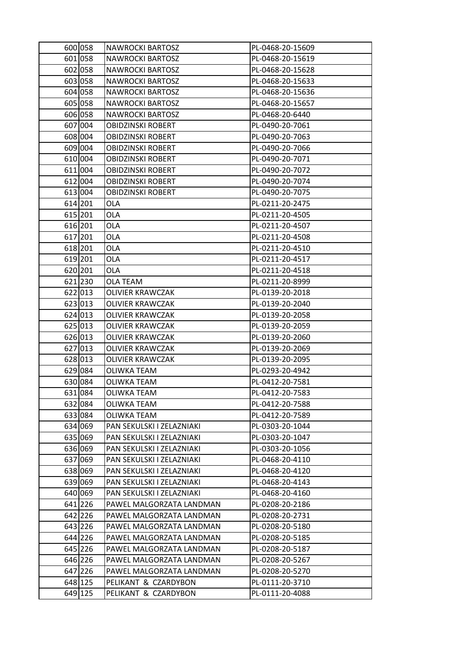| 600 058 | <b>NAWROCKI BARTOSZ</b>   | PL-0468-20-15609 |
|---------|---------------------------|------------------|
| 601 058 | <b>NAWROCKI BARTOSZ</b>   | PL-0468-20-15619 |
| 602 058 | <b>NAWROCKI BARTOSZ</b>   | PL-0468-20-15628 |
| 603 058 | <b>NAWROCKI BARTOSZ</b>   | PL-0468-20-15633 |
| 604 058 | <b>NAWROCKI BARTOSZ</b>   | PL-0468-20-15636 |
| 605 058 | <b>NAWROCKI BARTOSZ</b>   | PL-0468-20-15657 |
| 606 058 | <b>NAWROCKI BARTOSZ</b>   | PL-0468-20-6440  |
| 607 004 | <b>OBIDZINSKI ROBERT</b>  | PL-0490-20-7061  |
| 608 004 | OBIDZINSKI ROBERT         | PL-0490-20-7063  |
| 609 004 | <b>OBIDZINSKI ROBERT</b>  | PL-0490-20-7066  |
| 610 004 | OBIDZINSKI ROBERT         | PL-0490-20-7071  |
| 611 004 | <b>OBIDZINSKI ROBERT</b>  | PL-0490-20-7072  |
| 612 004 | <b>OBIDZINSKI ROBERT</b>  | PL-0490-20-7074  |
| 613 004 | OBIDZINSKI ROBERT         | PL-0490-20-7075  |
| 614 201 | <b>OLA</b>                | PL-0211-20-2475  |
| 615 201 | OLA                       | PL-0211-20-4505  |
| 616 201 | <b>OLA</b>                | PL-0211-20-4507  |
| 617 201 | <b>OLA</b>                | PL-0211-20-4508  |
| 618 201 | OLA                       | PL-0211-20-4510  |
| 619 201 | OLA                       | PL-0211-20-4517  |
| 620 201 | OLA                       | PL-0211-20-4518  |
| 621 230 | <b>OLA TEAM</b>           | PL-0211-20-8999  |
| 622 013 | OLIVIER KRAWCZAK          | PL-0139-20-2018  |
| 623 013 | OLIVIER KRAWCZAK          | PL-0139-20-2040  |
| 624 013 | OLIVIER KRAWCZAK          | PL-0139-20-2058  |
| 625 013 | OLIVIER KRAWCZAK          | PL-0139-20-2059  |
| 626 013 | OLIVIER KRAWCZAK          | PL-0139-20-2060  |
| 627 013 | OLIVIER KRAWCZAK          | PL-0139-20-2069  |
| 628 013 | OLIVIER KRAWCZAK          | PL-0139-20-2095  |
| 629 084 | OLIWKA TEAM               | PL-0293-20-4942  |
| 630 084 | OLIWKA TEAM               | PL-0412-20-7581  |
| 631 084 | <b>OLIWKA TEAM</b>        | PL-0412-20-7583  |
| 632 084 | OLIWKA TEAM               | PL-0412-20-7588  |
| 633 084 | OLIWKA TEAM               | PL-0412-20-7589  |
| 634 069 | PAN SEKULSKI I ZELAZNIAKI | PL-0303-20-1044  |
| 635 069 | PAN SEKULSKI I ZELAZNIAKI | PL-0303-20-1047  |
| 636 069 | PAN SEKULSKI I ZELAZNIAKI | PL-0303-20-1056  |
| 637 069 | PAN SEKULSKI I ZELAZNIAKI | PL-0468-20-4110  |
| 638 069 | PAN SEKULSKI I ZELAZNIAKI | PL-0468-20-4120  |
| 639 069 | PAN SEKULSKI I ZELAZNIAKI | PL-0468-20-4143  |
| 640 069 | PAN SEKULSKI I ZELAZNIAKI | PL-0468-20-4160  |
| 641 226 | PAWEL MALGORZATA LANDMAN  | PL-0208-20-2186  |
| 642 226 | PAWEL MALGORZATA LANDMAN  | PL-0208-20-2731  |
| 643 226 | PAWEL MALGORZATA LANDMAN  | PL-0208-20-5180  |
| 644 226 | PAWEL MALGORZATA LANDMAN  | PL-0208-20-5185  |
| 645 226 | PAWEL MALGORZATA LANDMAN  | PL-0208-20-5187  |
| 646 226 | PAWEL MALGORZATA LANDMAN  | PL-0208-20-5267  |
| 647 226 | PAWEL MALGORZATA LANDMAN  | PL-0208-20-5270  |
| 648 125 | PELIKANT & CZARDYBON      | PL-0111-20-3710  |
| 649 125 | PELIKANT & CZARDYBON      | PL-0111-20-4088  |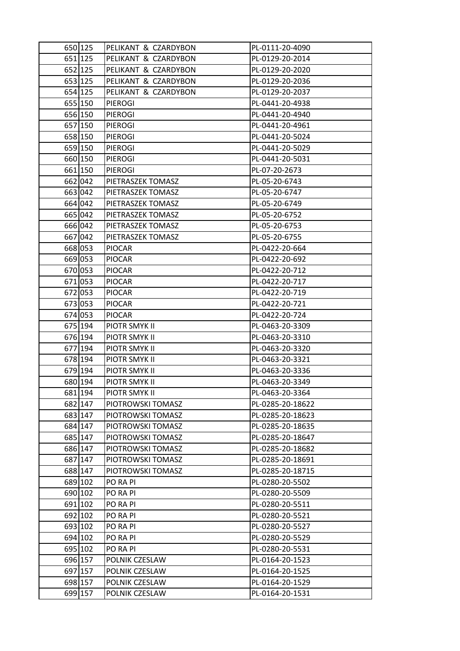| 650 125 | PELIKANT & CZARDYBON | PL-0111-20-4090  |
|---------|----------------------|------------------|
| 651 125 | PELIKANT & CZARDYBON | PL-0129-20-2014  |
| 652 125 | PELIKANT & CZARDYBON | PL-0129-20-2020  |
| 653 125 | PELIKANT & CZARDYBON | PL-0129-20-2036  |
| 654 125 | PELIKANT & CZARDYBON | PL-0129-20-2037  |
| 655 150 | <b>PIEROGI</b>       | PL-0441-20-4938  |
| 656 150 | PIEROGI              | PL-0441-20-4940  |
| 657 150 | <b>PIEROGI</b>       | PL-0441-20-4961  |
| 658 150 | <b>PIEROGI</b>       | PL-0441-20-5024  |
| 659 150 | <b>PIEROGI</b>       | PL-0441-20-5029  |
| 660 150 | <b>PIEROGI</b>       | PL-0441-20-5031  |
| 661 150 | <b>PIEROGI</b>       | PL-07-20-2673    |
| 662 042 | PIETRASZEK TOMASZ    | PL-05-20-6743    |
| 663 042 | PIETRASZEK TOMASZ    | PL-05-20-6747    |
| 664 042 | PIETRASZEK TOMASZ    | PL-05-20-6749    |
| 665 042 | PIETRASZEK TOMASZ    | PL-05-20-6752    |
| 666 042 | PIETRASZEK TOMASZ    | PL-05-20-6753    |
| 667 042 | PIETRASZEK TOMASZ    | PL-05-20-6755    |
| 668 053 | <b>PIOCAR</b>        | PL-0422-20-664   |
| 669 053 | <b>PIOCAR</b>        | PL-0422-20-692   |
| 670 053 | <b>PIOCAR</b>        | PL-0422-20-712   |
| 671 053 | <b>PIOCAR</b>        | PL-0422-20-717   |
| 672 053 | <b>PIOCAR</b>        | PL-0422-20-719   |
| 673 053 | <b>PIOCAR</b>        | PL-0422-20-721   |
| 674 053 | <b>PIOCAR</b>        | PL-0422-20-724   |
| 675 194 | PIOTR SMYK II        | PL-0463-20-3309  |
| 676 194 | PIOTR SMYK II        | PL-0463-20-3310  |
| 677 194 | PIOTR SMYK II        | PL-0463-20-3320  |
| 678 194 | PIOTR SMYK II        | PL-0463-20-3321  |
| 679 194 | PIOTR SMYK II        | PL-0463-20-3336  |
| 680 194 | PIOTR SMYK II        | PL-0463-20-3349  |
| 681 194 | PIOTR SMYK II        | PL-0463-20-3364  |
| 682 147 | PIOTROWSKI TOMASZ    | PL-0285-20-18622 |
| 683 147 | PIOTROWSKI TOMASZ    | PL-0285-20-18623 |
| 684 147 | PIOTROWSKI TOMASZ    | PL-0285-20-18635 |
| 685 147 | PIOTROWSKI TOMASZ    | PL-0285-20-18647 |
| 686 147 | PIOTROWSKI TOMASZ    | PL-0285-20-18682 |
| 687 147 | PIOTROWSKI TOMASZ    | PL-0285-20-18691 |
| 688 147 | PIOTROWSKI TOMASZ    | PL-0285-20-18715 |
| 689 102 | PO RA PI             | PL-0280-20-5502  |
| 690 102 | PO RA PI             | PL-0280-20-5509  |
| 691 102 | PO RA PI             | PL-0280-20-5511  |
| 692 102 | PO RA PI             | PL-0280-20-5521  |
| 693 102 | PO RA PI             | PL-0280-20-5527  |
| 694 102 | PO RA PI             | PL-0280-20-5529  |
| 695 102 | PO RA PI             | PL-0280-20-5531  |
| 696 157 | POLNIK CZESLAW       | PL-0164-20-1523  |
| 697 157 | POLNIK CZESLAW       | PL-0164-20-1525  |
| 698 157 | POLNIK CZESLAW       | PL-0164-20-1529  |
| 699 157 | POLNIK CZESLAW       | PL-0164-20-1531  |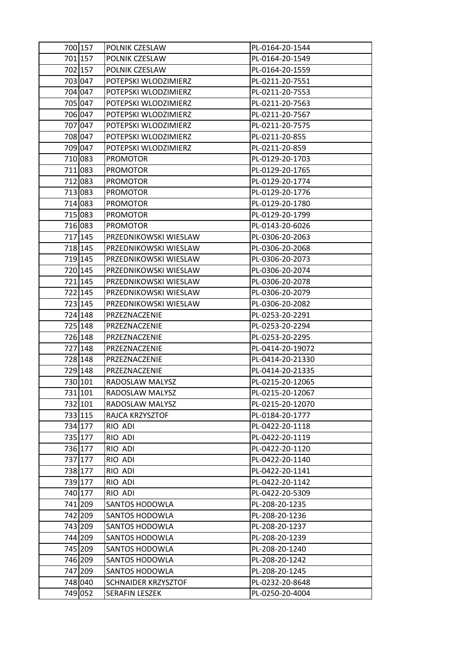| 700 157 | POLNIK CZESLAW        | PL-0164-20-1544  |
|---------|-----------------------|------------------|
| 701 157 | POLNIK CZESLAW        | PL-0164-20-1549  |
| 702 157 | POLNIK CZESLAW        | PL-0164-20-1559  |
| 703 047 | POTEPSKI WLODZIMIERZ  | PL-0211-20-7551  |
| 704 047 | POTEPSKI WLODZIMIERZ  | PL-0211-20-7553  |
| 705 047 | POTEPSKI WLODZIMIERZ  | PL-0211-20-7563  |
| 706 047 | POTEPSKI WLODZIMIERZ  | PL-0211-20-7567  |
| 707 047 | POTEPSKI WLODZIMIERZ  | PL-0211-20-7575  |
| 708 047 | POTEPSKI WLODZIMIERZ  | PL-0211-20-855   |
| 709 047 | POTEPSKI WLODZIMIERZ  | PL-0211-20-859   |
| 710 083 | <b>PROMOTOR</b>       | PL-0129-20-1703  |
| 711 083 | <b>PROMOTOR</b>       | PL-0129-20-1765  |
| 712 083 | <b>PROMOTOR</b>       | PL-0129-20-1774  |
| 713 083 | <b>PROMOTOR</b>       | PL-0129-20-1776  |
| 714 083 | <b>PROMOTOR</b>       | PL-0129-20-1780  |
| 715 083 | <b>PROMOTOR</b>       | PL-0129-20-1799  |
| 716 083 | <b>PROMOTOR</b>       | PL-0143-20-6026  |
| 717 145 | PRZEDNIKOWSKI WIESLAW | PL-0306-20-2063  |
| 718 145 | PRZEDNIKOWSKI WIESLAW | PL-0306-20-2068  |
| 719 145 | PRZEDNIKOWSKI WIESLAW | PL-0306-20-2073  |
| 720 145 | PRZEDNIKOWSKI WIESLAW | PL-0306-20-2074  |
| 721 145 | PRZEDNIKOWSKI WIESLAW | PL-0306-20-2078  |
| 722 145 | PRZEDNIKOWSKI WIESLAW | PL-0306-20-2079  |
| 723 145 | PRZEDNIKOWSKI WIESLAW | PL-0306-20-2082  |
| 724 148 | PRZEZNACZENIE         | PL-0253-20-2291  |
| 725 148 | PRZEZNACZENIE         | PL-0253-20-2294  |
| 726 148 | PRZEZNACZENIE         | PL-0253-20-2295  |
| 727 148 | PRZEZNACZENIE         | PL-0414-20-19072 |
| 728 148 | PRZEZNACZENIE         | PL-0414-20-21330 |
| 729 148 | PRZEZNACZENIE         | PL-0414-20-21335 |
| 730 101 | RADOSLAW MALYSZ       | PL-0215-20-12065 |
| 731 101 | RADOSLAW MALYSZ       | PL-0215-20-12067 |
| 732 101 | RADOSLAW MALYSZ       | PL-0215-20-12070 |
| 733 115 | RAJCA KRZYSZTOF       | PL-0184-20-1777  |
| 734 177 | RIO ADI               | PL-0422-20-1118  |
| 735 177 | RIO ADI               | PL-0422-20-1119  |
| 736 177 | RIO ADI               | PL-0422-20-1120  |
| 737 177 | RIO ADI               | PL-0422-20-1140  |
| 738 177 | RIO ADI               | PL-0422-20-1141  |
| 739 177 | RIO ADI               | PL-0422-20-1142  |
| 740 177 | RIO ADI               | PL-0422-20-5309  |
| 741 209 | SANTOS HODOWLA        | PL-208-20-1235   |
| 742 209 | SANTOS HODOWLA        | PL-208-20-1236   |
| 743 209 | SANTOS HODOWLA        | PL-208-20-1237   |
| 744 209 | SANTOS HODOWLA        | PL-208-20-1239   |
| 745 209 | SANTOS HODOWLA        | PL-208-20-1240   |
| 746 209 | SANTOS HODOWLA        | PL-208-20-1242   |
| 747 209 | SANTOS HODOWLA        | PL-208-20-1245   |
| 748 040 | SCHNAIDER KRZYSZTOF   | PL-0232-20-8648  |
| 749 052 | SERAFIN LESZEK        | PL-0250-20-4004  |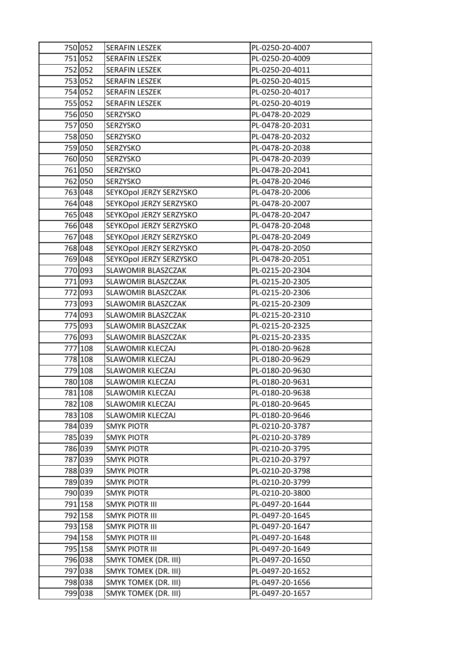| 750 052 | <b>SERAFIN LESZEK</b>       | PL-0250-20-4007 |
|---------|-----------------------------|-----------------|
| 751 052 | <b>SERAFIN LESZEK</b>       | PL-0250-20-4009 |
| 752 052 | SERAFIN LESZEK              | PL-0250-20-4011 |
| 753 052 | SERAFIN LESZEK              | PL-0250-20-4015 |
| 754 052 | <b>SERAFIN LESZEK</b>       | PL-0250-20-4017 |
| 755 052 | SERAFIN LESZEK              | PL-0250-20-4019 |
| 756 050 | SERZYSKO                    | PL-0478-20-2029 |
| 757 050 | SERZYSKO                    | PL-0478-20-2031 |
| 758 050 | SERZYSKO                    | PL-0478-20-2032 |
| 759 050 | SERZYSKO                    | PL-0478-20-2038 |
| 760 050 | SERZYSKO                    | PL-0478-20-2039 |
| 761 050 | SERZYSKO                    | PL-0478-20-2041 |
| 762 050 | SERZYSKO                    | PL-0478-20-2046 |
| 763 048 | SEYKOpol JERZY SERZYSKO     | PL-0478-20-2006 |
| 764 048 | SEYKOpol JERZY SERZYSKO     | PL-0478-20-2007 |
| 765 048 | SEYKOpol JERZY SERZYSKO     | PL-0478-20-2047 |
| 766 048 | SEYKOpol JERZY SERZYSKO     | PL-0478-20-2048 |
| 767 048 | SEYKOpol JERZY SERZYSKO     | PL-0478-20-2049 |
| 768 048 | SEYKOpol JERZY SERZYSKO     | PL-0478-20-2050 |
| 769 048 | SEYKOpol JERZY SERZYSKO     | PL-0478-20-2051 |
| 770 093 | SLAWOMIR BLASZCZAK          | PL-0215-20-2304 |
| 771 093 | SLAWOMIR BLASZCZAK          | PL-0215-20-2305 |
| 772 093 | SLAWOMIR BLASZCZAK          | PL-0215-20-2306 |
| 773 093 | SLAWOMIR BLASZCZAK          | PL-0215-20-2309 |
| 774 093 | SLAWOMIR BLASZCZAK          | PL-0215-20-2310 |
| 775 093 | SLAWOMIR BLASZCZAK          | PL-0215-20-2325 |
| 776 093 | SLAWOMIR BLASZCZAK          | PL-0215-20-2335 |
| 777 108 | <b>SLAWOMIR KLECZAJ</b>     | PL-0180-20-9628 |
| 778 108 | SLAWOMIR KLECZAJ            | PL-0180-20-9629 |
| 779 108 | SLAWOMIR KLECZAJ            | PL-0180-20-9630 |
| 780 108 | <b>SLAWOMIR KLECZAJ</b>     | PL-0180-20-9631 |
| 781 108 | SLAWOMIR KLECZAJ            | PL-0180-20-9638 |
| 782 108 | <b>SLAWOMIR KLECZAJ</b>     | PL-0180-20-9645 |
| 783 108 | <b>SLAWOMIR KLECZAJ</b>     | PL-0180-20-9646 |
| 784 039 | <b>SMYK PIOTR</b>           | PL-0210-20-3787 |
| 785 039 | <b>SMYK PIOTR</b>           | PL-0210-20-3789 |
| 786 039 | <b>SMYK PIOTR</b>           | PL-0210-20-3795 |
| 787 039 | <b>SMYK PIOTR</b>           | PL-0210-20-3797 |
| 788 039 | <b>SMYK PIOTR</b>           | PL-0210-20-3798 |
| 789 039 | <b>SMYK PIOTR</b>           | PL-0210-20-3799 |
| 790 039 | <b>SMYK PIOTR</b>           | PL-0210-20-3800 |
| 791 158 | <b>SMYK PIOTR III</b>       | PL-0497-20-1644 |
| 792 158 | <b>SMYK PIOTR III</b>       | PL-0497-20-1645 |
| 793 158 | <b>SMYK PIOTR III</b>       | PL-0497-20-1647 |
| 794 158 | <b>SMYK PIOTR III</b>       | PL-0497-20-1648 |
| 795 158 | <b>SMYK PIOTR III</b>       | PL-0497-20-1649 |
| 796 038 | <b>SMYK TOMEK (DR. III)</b> | PL-0497-20-1650 |
| 797 038 | <b>SMYK TOMEK (DR. III)</b> | PL-0497-20-1652 |
| 798 038 | <b>SMYK TOMEK (DR. III)</b> | PL-0497-20-1656 |
| 799 038 | SMYK TOMEK (DR. III)        | PL-0497-20-1657 |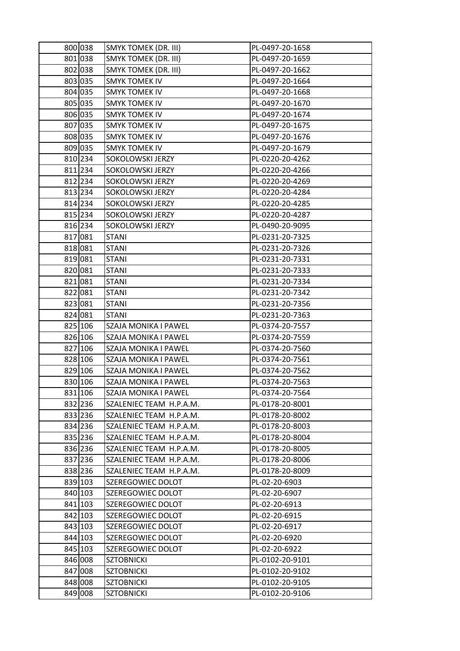| 800 038 | SMYK TOMEK (DR. III)        | PL-0497-20-1658 |
|---------|-----------------------------|-----------------|
| 801 038 | <b>SMYK TOMEK (DR. III)</b> | PL-0497-20-1659 |
| 802 038 | SMYK TOMEK (DR. III)        | PL-0497-20-1662 |
| 803 035 | <b>SMYK TOMEK IV</b>        | PL-0497-20-1664 |
| 804 035 | <b>SMYK TOMEK IV</b>        | PL-0497-20-1668 |
| 805 035 | SMYK TOMEK IV               | PL-0497-20-1670 |
| 806 035 | <b>SMYK TOMEK IV</b>        | PL-0497-20-1674 |
| 807 035 | <b>SMYK TOMEK IV</b>        | PL-0497-20-1675 |
| 808 035 | <b>SMYK TOMEK IV</b>        | PL-0497-20-1676 |
| 809 035 | <b>SMYK TOMEK IV</b>        | PL-0497-20-1679 |
| 810 234 | SOKOLOWSKI JERZY            | PL-0220-20-4262 |
| 811 234 | SOKOLOWSKI JERZY            | PL-0220-20-4266 |
| 812 234 | SOKOLOWSKI JERZY            | PL-0220-20-4269 |
| 813 234 | SOKOLOWSKI JERZY            | PL-0220-20-4284 |
| 814 234 | SOKOLOWSKI JERZY            | PL-0220-20-4285 |
| 815 234 | SOKOLOWSKI JERZY            | PL-0220-20-4287 |
| 816 234 | SOKOLOWSKI JERZY            | PL-0490-20-9095 |
| 817 081 | <b>STANI</b>                | PL-0231-20-7325 |
| 818 081 | <b>STANI</b>                | PL-0231-20-7326 |
| 819 081 | <b>STANI</b>                | PL-0231-20-7331 |
| 820 081 | <b>STANI</b>                | PL-0231-20-7333 |
| 821 081 | <b>STANI</b>                | PL-0231-20-7334 |
| 822 081 | <b>STANI</b>                | PL-0231-20-7342 |
| 823 081 | <b>STANI</b>                | PL-0231-20-7356 |
| 824 081 | <b>STANI</b>                | PL-0231-20-7363 |
| 825 106 | SZAJA MONIKA I PAWEL        | PL-0374-20-7557 |
| 826 106 | SZAJA MONIKA I PAWEL        | PL-0374-20-7559 |
| 827 106 | SZAJA MONIKA I PAWEL        | PL-0374-20-7560 |
| 828 106 | SZAJA MONIKA I PAWEL        | PL-0374-20-7561 |
| 829 106 | SZAJA MONIKA I PAWEL        | PL-0374-20-7562 |
| 830 106 | SZAJA MONIKA I PAWEL        | PL-0374-20-7563 |
| 831 106 | SZAJA MONIKA I PAWEL        | PL-0374-20-7564 |
| 832 236 | SZALENIEC TEAM H.P.A.M.     | PL-0178-20-8001 |
| 833 236 | SZALENIEC TEAM H.P.A.M.     | PL-0178-20-8002 |
| 834 236 | SZALENIEC TEAM H.P.A.M.     | PL-0178-20-8003 |
| 835 236 | SZALENIEC TEAM H.P.A.M.     | PL-0178-20-8004 |
| 836 236 | SZALENIEC TEAM H.P.A.M.     | PL-0178-20-8005 |
| 837 236 | SZALENIEC TEAM H.P.A.M.     | PL-0178-20-8006 |
| 838 236 | SZALENIEC TEAM H.P.A.M.     | PL-0178-20-8009 |
| 839 103 | SZEREGOWIEC DOLOT           | PL-02-20-6903   |
| 840 103 | SZEREGOWIEC DOLOT           | PL-02-20-6907   |
| 841 103 | SZEREGOWIEC DOLOT           | PL-02-20-6913   |
| 842 103 | SZEREGOWIEC DOLOT           | PL-02-20-6915   |
| 843 103 | SZEREGOWIEC DOLOT           | PL-02-20-6917   |
| 844 103 | SZEREGOWIEC DOLOT           | PL-02-20-6920   |
| 845 103 | SZEREGOWIEC DOLOT           | PL-02-20-6922   |
| 846 008 | <b>SZTOBNICKI</b>           | PL-0102-20-9101 |
| 847 008 | <b>SZTOBNICKI</b>           | PL-0102-20-9102 |
| 848 008 | <b>SZTOBNICKI</b>           | PL-0102-20-9105 |
| 849 008 | <b>SZTOBNICKI</b>           | PL-0102-20-9106 |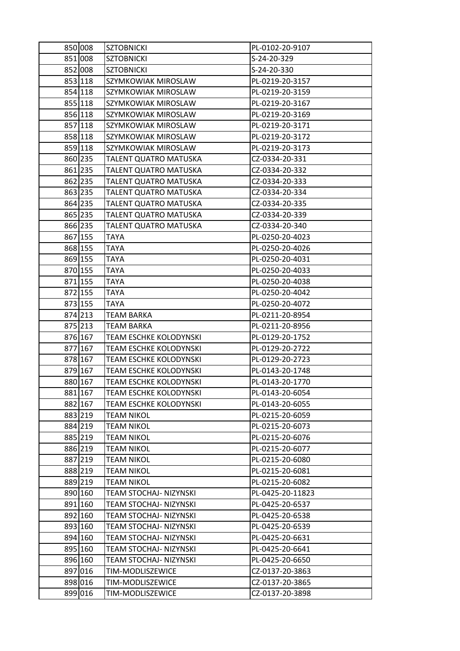| 850 008 | <b>SZTOBNICKI</b>             | PL-0102-20-9107  |
|---------|-------------------------------|------------------|
| 851 008 | <b>SZTOBNICKI</b>             | S-24-20-329      |
| 852 008 | <b>SZTOBNICKI</b>             | S-24-20-330      |
| 853 118 | SZYMKOWIAK MIROSLAW           | PL-0219-20-3157  |
| 854 118 | SZYMKOWIAK MIROSLAW           | PL-0219-20-3159  |
| 855 118 | SZYMKOWIAK MIROSLAW           | PL-0219-20-3167  |
| 856 118 | SZYMKOWIAK MIROSLAW           | PL-0219-20-3169  |
| 857 118 | SZYMKOWIAK MIROSLAW           | PL-0219-20-3171  |
| 858 118 | SZYMKOWIAK MIROSLAW           | PL-0219-20-3172  |
| 859 118 | SZYMKOWIAK MIROSLAW           | PL-0219-20-3173  |
| 860 235 | TALENT QUATRO MATUSKA         | CZ-0334-20-331   |
| 861 235 | TALENT QUATRO MATUSKA         | CZ-0334-20-332   |
| 862 235 | TALENT QUATRO MATUSKA         | CZ-0334-20-333   |
| 863 235 | TALENT QUATRO MATUSKA         | CZ-0334-20-334   |
| 864 235 | TALENT QUATRO MATUSKA         | CZ-0334-20-335   |
| 865 235 | TALENT QUATRO MATUSKA         | CZ-0334-20-339   |
| 866 235 | TALENT QUATRO MATUSKA         | CZ-0334-20-340   |
| 867 155 | TAYA                          | PL-0250-20-4023  |
| 868 155 | TAYA                          | PL-0250-20-4026  |
| 869 155 | <b>TAYA</b>                   | PL-0250-20-4031  |
| 870 155 | TAYA                          | PL-0250-20-4033  |
| 871 155 | <b>TAYA</b>                   | PL-0250-20-4038  |
| 872 155 | TAYA                          | PL-0250-20-4042  |
| 873 155 | TAYA                          | PL-0250-20-4072  |
| 874 213 | <b>TEAM BARKA</b>             | PL-0211-20-8954  |
| 875 213 | TEAM BARKA                    | PL-0211-20-8956  |
| 876 167 | TEAM ESCHKE KOLODYNSKI        | PL-0129-20-1752  |
| 877 167 | TEAM ESCHKE KOLODYNSKI        | PL-0129-20-2722  |
| 878 167 | TEAM ESCHKE KOLODYNSKI        | PL-0129-20-2723  |
| 879 167 | <b>TEAM ESCHKE KOLODYNSKI</b> | PL-0143-20-1748  |
| 880 167 | TEAM ESCHKE KOLODYNSKI        | PL-0143-20-1770  |
| 881 167 | TEAM ESCHKE KOLODYNSKI        | PL-0143-20-6054  |
| 882 167 | TEAM ESCHKE KOLODYNSKI        | PL-0143-20-6055  |
| 883 219 | <b>TEAM NIKOL</b>             | PL-0215-20-6059  |
| 884 219 | <b>TEAM NIKOL</b>             | PL-0215-20-6073  |
| 885 219 | TEAM NIKOL                    | PL-0215-20-6076  |
| 886 219 | <b>TEAM NIKOL</b>             | PL-0215-20-6077  |
| 887 219 | TEAM NIKOL                    | PL-0215-20-6080  |
| 888 219 | <b>TEAM NIKOL</b>             | PL-0215-20-6081  |
| 889 219 | <b>TEAM NIKOL</b>             | PL-0215-20-6082  |
| 890 160 | TEAM STOCHAJ- NIZYNSKI        | PL-0425-20-11823 |
| 891 160 | TEAM STOCHAJ- NIZYNSKI        | PL-0425-20-6537  |
| 892 160 | TEAM STOCHAJ- NIZYNSKI        | PL-0425-20-6538  |
| 893 160 | TEAM STOCHAJ- NIZYNSKI        | PL-0425-20-6539  |
| 894 160 | TEAM STOCHAJ- NIZYNSKI        | PL-0425-20-6631  |
| 895 160 | TEAM STOCHAJ- NIZYNSKI        | PL-0425-20-6641  |
| 896 160 | TEAM STOCHAJ- NIZYNSKI        | PL-0425-20-6650  |
| 897 016 | TIM-MODLISZEWICE              | CZ-0137-20-3863  |
| 898 016 | TIM-MODLISZEWICE              | CZ-0137-20-3865  |
| 899 016 | TIM-MODLISZEWICE              | CZ-0137-20-3898  |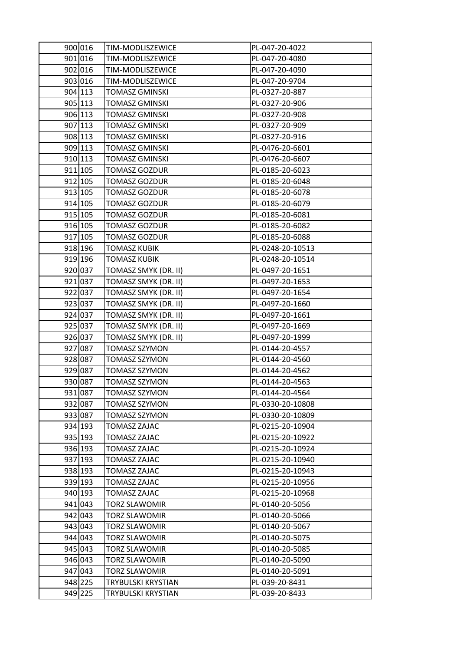| 900 016 | TIM-MODLISZEWICE      | PL-047-20-4022   |
|---------|-----------------------|------------------|
| 901 016 | TIM-MODLISZEWICE      | PL-047-20-4080   |
| 902 016 | TIM-MODLISZEWICE      | PL-047-20-4090   |
| 903 016 | TIM-MODLISZEWICE      | PL-047-20-9704   |
| 904 113 | <b>TOMASZ GMINSKI</b> | PL-0327-20-887   |
| 905 113 | <b>TOMASZ GMINSKI</b> | PL-0327-20-906   |
| 906 113 | <b>TOMASZ GMINSKI</b> | PL-0327-20-908   |
| 907 113 | TOMASZ GMINSKI        | PL-0327-20-909   |
| 908 113 | <b>TOMASZ GMINSKI</b> | PL-0327-20-916   |
| 909 113 | <b>TOMASZ GMINSKI</b> | PL-0476-20-6601  |
| 910 113 | <b>TOMASZ GMINSKI</b> | PL-0476-20-6607  |
| 911 105 | <b>TOMASZ GOZDUR</b>  | PL-0185-20-6023  |
| 912 105 | <b>TOMASZ GOZDUR</b>  | PL-0185-20-6048  |
| 913 105 | <b>TOMASZ GOZDUR</b>  | PL-0185-20-6078  |
| 914 105 | <b>TOMASZ GOZDUR</b>  | PL-0185-20-6079  |
| 915 105 | <b>TOMASZ GOZDUR</b>  | PL-0185-20-6081  |
| 916 105 | <b>TOMASZ GOZDUR</b>  | PL-0185-20-6082  |
| 917 105 | <b>TOMASZ GOZDUR</b>  | PL-0185-20-6088  |
| 918 196 | <b>TOMASZ KUBIK</b>   | PL-0248-20-10513 |
| 919 196 | <b>TOMASZ KUBIK</b>   | PL-0248-20-10514 |
| 920 037 | TOMASZ SMYK (DR. II)  | PL-0497-20-1651  |
| 921 037 | TOMASZ SMYK (DR. II)  | PL-0497-20-1653  |
| 922 037 | TOMASZ SMYK (DR. II)  | PL-0497-20-1654  |
| 923 037 | TOMASZ SMYK (DR. II)  | PL-0497-20-1660  |
| 924 037 | TOMASZ SMYK (DR. II)  | PL-0497-20-1661  |
| 925 037 | TOMASZ SMYK (DR. II)  | PL-0497-20-1669  |
| 926 037 | TOMASZ SMYK (DR. II)  | PL-0497-20-1999  |
| 927 087 | TOMASZ SZYMON         | PL-0144-20-4557  |
| 928 087 | TOMASZ SZYMON         | PL-0144-20-4560  |
| 929 087 | <b>TOMASZ SZYMON</b>  | PL-0144-20-4562  |
| 930 087 | TOMASZ SZYMON         | PL-0144-20-4563  |
| 931 087 | <b>TOMASZ SZYMON</b>  | PL-0144-20-4564  |
| 932 087 | TOMASZ SZYMON         | PL-0330-20-10808 |
| 933 087 | <b>TOMASZ SZYMON</b>  | PL-0330-20-10809 |
| 934 193 | TOMASZ ZAJAC          | PL-0215-20-10904 |
| 935 193 | TOMASZ ZAJAC          | PL-0215-20-10922 |
| 936 193 | <b>TOMASZ ZAJAC</b>   | PL-0215-20-10924 |
| 937 193 | <b>TOMASZ ZAJAC</b>   | PL-0215-20-10940 |
| 938 193 | <b>TOMASZ ZAJAC</b>   | PL-0215-20-10943 |
| 939 193 | <b>TOMASZ ZAJAC</b>   | PL-0215-20-10956 |
| 940 193 | TOMASZ ZAJAC          | PL-0215-20-10968 |
| 941 043 | <b>TORZ SLAWOMIR</b>  | PL-0140-20-5056  |
| 942 043 | TORZ SLAWOMIR         | PL-0140-20-5066  |
| 943 043 | <b>TORZ SLAWOMIR</b>  | PL-0140-20-5067  |
| 944 043 | <b>TORZ SLAWOMIR</b>  | PL-0140-20-5075  |
| 945 043 | TORZ SLAWOMIR         | PL-0140-20-5085  |
| 946 043 | <b>TORZ SLAWOMIR</b>  | PL-0140-20-5090  |
| 947 043 | TORZ SLAWOMIR         | PL-0140-20-5091  |
| 948 225 | TRYBULSKI KRYSTIAN    | PL-039-20-8431   |
| 949 225 | TRYBULSKI KRYSTIAN    | PL-039-20-8433   |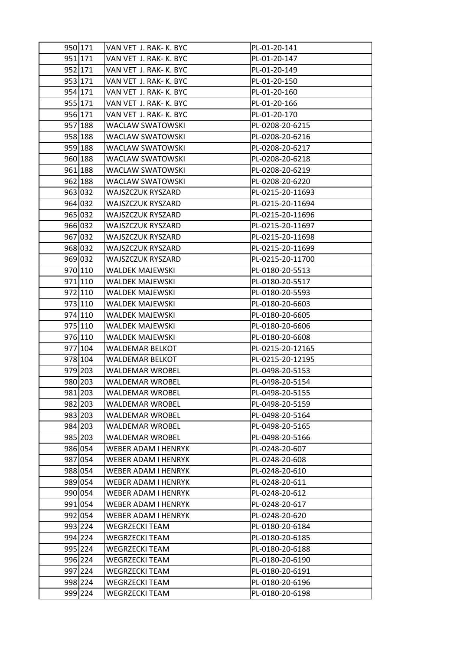| 950 171 |                                                  |                                    |
|---------|--------------------------------------------------|------------------------------------|
| 951 171 | VAN VET J. RAK- K. BYC<br>VAN VET J. RAK- K. BYC | PL-01-20-141<br>PL-01-20-147       |
| 952 171 |                                                  |                                    |
| 953 171 | VAN VET J. RAK- K. BYC<br>VAN VET J. RAK- K. BYC | PL-01-20-149<br>PL-01-20-150       |
| 954 171 |                                                  |                                    |
| 955 171 | VAN VET J. RAK- K. BYC<br>VAN VET J. RAK- K. BYC | PL-01-20-160<br>PL-01-20-166       |
| 956 171 | VAN VET J. RAK- K. BYC                           | PL-01-20-170                       |
| 957 188 |                                                  |                                    |
| 958 188 | WACLAW SWATOWSKI<br>WACLAW SWATOWSKI             | PL-0208-20-6215<br>PL-0208-20-6216 |
| 959 188 | WACLAW SWATOWSKI                                 | PL-0208-20-6217                    |
| 960 188 | WACLAW SWATOWSKI                                 | PL-0208-20-6218                    |
| 961 188 | WACLAW SWATOWSKI                                 | PL-0208-20-6219                    |
| 962 188 | WACLAW SWATOWSKI                                 | PL-0208-20-6220                    |
| 963 032 | WAJSZCZUK RYSZARD                                | PL-0215-20-11693                   |
| 964 032 | WAJSZCZUK RYSZARD                                | PL-0215-20-11694                   |
| 965 032 | WAJSZCZUK RYSZARD                                | PL-0215-20-11696                   |
| 966 032 | WAJSZCZUK RYSZARD                                | PL-0215-20-11697                   |
| 967 032 | WAJSZCZUK RYSZARD                                | PL-0215-20-11698                   |
| 968 032 | WAJSZCZUK RYSZARD                                | PL-0215-20-11699                   |
| 969 032 | WAJSZCZUK RYSZARD                                | PL-0215-20-11700                   |
| 970 110 | WALDEK MAJEWSKI                                  | PL-0180-20-5513                    |
| 971 110 | WALDEK MAJEWSKI                                  | PL-0180-20-5517                    |
| 972 110 | WALDEK MAJEWSKI                                  | PL-0180-20-5593                    |
| 973 110 | WALDEK MAJEWSKI                                  | PL-0180-20-6603                    |
| 974 110 | <b>WALDEK MAJEWSKI</b>                           | PL-0180-20-6605                    |
| 975 110 | WALDEK MAJEWSKI                                  | PL-0180-20-6606                    |
| 976 110 | WALDEK MAJEWSKI                                  | PL-0180-20-6608                    |
| 977 104 | WALDEMAR BELKOT                                  | PL-0215-20-12165                   |
| 978 104 | WALDEMAR BELKOT                                  | PL-0215-20-12195                   |
| 979 203 | WALDEMAR WROBEL                                  | PL-0498-20-5153                    |
| 980 203 | WALDEMAR WROBEL                                  | PL-0498-20-5154                    |
| 981 203 | <b>WALDEMAR WROBEL</b>                           | PL-0498-20-5155                    |
| 982 203 | WALDEMAR WROBEL                                  | PL-0498-20-5159                    |
| 983 203 | WALDEMAR WROBEL                                  | PL-0498-20-5164                    |
| 984 203 | <b>WALDEMAR WROBEL</b>                           | PL-0498-20-5165                    |
| 985 203 | WALDEMAR WROBEL                                  | PL-0498-20-5166                    |
| 986 054 | WEBER ADAM I HENRYK                              | PL-0248-20-607                     |
| 987 054 | WEBER ADAM I HENRYK                              | PL-0248-20-608                     |
| 988 054 | WEBER ADAM I HENRYK                              | PL-0248-20-610                     |
| 989 054 | <b>WEBER ADAM I HENRYK</b>                       | PL-0248-20-611                     |
| 990 054 | WEBER ADAM I HENRYK                              | PL-0248-20-612                     |
| 991 054 | WEBER ADAM I HENRYK                              | PL-0248-20-617                     |
| 992 054 | WEBER ADAM I HENRYK                              | PL-0248-20-620                     |
| 993 224 | WEGRZECKI TEAM                                   | PL-0180-20-6184                    |
| 994 224 | <b>WEGRZECKI TEAM</b>                            | PL-0180-20-6185                    |
| 995 224 | WEGRZECKI TEAM                                   | PL-0180-20-6188                    |
| 996 224 | <b>WEGRZECKI TEAM</b>                            | PL-0180-20-6190                    |
| 997 224 | WEGRZECKI TEAM                                   | PL-0180-20-6191                    |
| 998 224 | WEGRZECKI TEAM                                   | PL-0180-20-6196                    |
| 999 224 | WEGRZECKI TEAM                                   | PL-0180-20-6198                    |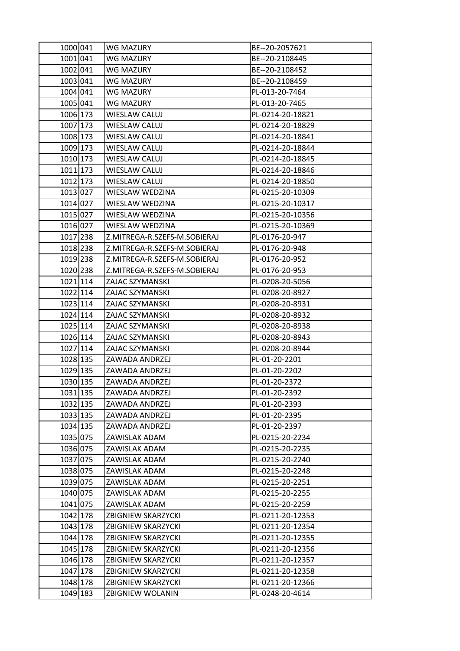| 1000 041 | WG MAZURY                    | BE--20-2057621   |
|----------|------------------------------|------------------|
| 1001 041 | WG MAZURY                    | BE--20-2108445   |
| 1002 041 | WG MAZURY                    | BE--20-2108452   |
| 1003 041 | WG MAZURY                    | BE--20-2108459   |
| 1004 041 | WG MAZURY                    | PL-013-20-7464   |
| 1005 041 | WG MAZURY                    | PL-013-20-7465   |
| 1006 173 | WIESLAW CALUJ                | PL-0214-20-18821 |
| 1007 173 | WIESLAW CALUJ                | PL-0214-20-18829 |
| 1008 173 | <b>WIESLAW CALUJ</b>         | PL-0214-20-18841 |
| 1009 173 | <b>WIESLAW CALUJ</b>         | PL-0214-20-18844 |
| 1010 173 | WIESLAW CALUJ                | PL-0214-20-18845 |
| 1011 173 | <b>WIESLAW CALUJ</b>         | PL-0214-20-18846 |
| 1012 173 | WIESLAW CALUJ                | PL-0214-20-18850 |
| 1013 027 | WIESLAW WEDZINA              | PL-0215-20-10309 |
| 1014 027 | WIESLAW WEDZINA              | PL-0215-20-10317 |
| 1015 027 | WIESLAW WEDZINA              | PL-0215-20-10356 |
| 1016 027 | WIESLAW WEDZINA              | PL-0215-20-10369 |
| 1017 238 | Z.MITREGA-R.SZEFS-M.SOBIERAJ | PL-0176-20-947   |
| 1018 238 | Z.MITREGA-R.SZEFS-M.SOBIERAJ | PL-0176-20-948   |
| 1019 238 | Z.MITREGA-R.SZEFS-M.SOBIERAJ | PL-0176-20-952   |
| 1020 238 | Z.MITREGA-R.SZEFS-M.SOBIERAJ | PL-0176-20-953   |
| 1021 114 | ZAJAC SZYMANSKI              | PL-0208-20-5056  |
| 1022 114 | ZAJAC SZYMANSKI              | PL-0208-20-8927  |
| 1023 114 | ZAJAC SZYMANSKI              | PL-0208-20-8931  |
| 1024 114 | ZAJAC SZYMANSKI              | PL-0208-20-8932  |
| 1025 114 | ZAJAC SZYMANSKI              | PL-0208-20-8938  |
| 1026 114 | ZAJAC SZYMANSKI              | PL-0208-20-8943  |
| 1027 114 | ZAJAC SZYMANSKI              | PL-0208-20-8944  |
| 1028 135 | ZAWADA ANDRZEJ               | PL-01-20-2201    |
| 1029 135 | ZAWADA ANDRZEJ               | PL-01-20-2202    |
| 1030 135 | ZAWADA ANDRZEJ               | PL-01-20-2372    |
| 1031 135 | ZAWADA ANDRZEJ               | PL-01-20-2392    |
| 1032 135 | ZAWADA ANDRZEJ               | PL-01-20-2393    |
| 1033 135 | ZAWADA ANDRZEJ               | PL-01-20-2395    |
| 1034 135 | ZAWADA ANDRZEJ               | PL-01-20-2397    |
| 1035 075 | ZAWISLAK ADAM                | PL-0215-20-2234  |
| 1036 075 | ZAWISLAK ADAM                | PL-0215-20-2235  |
| 1037 075 | ZAWISLAK ADAM                | PL-0215-20-2240  |
| 1038 075 | ZAWISLAK ADAM                | PL-0215-20-2248  |
| 1039 075 | ZAWISLAK ADAM                | PL-0215-20-2251  |
| 1040 075 | ZAWISLAK ADAM                | PL-0215-20-2255  |
| 1041 075 | ZAWISLAK ADAM                | PL-0215-20-2259  |
| 1042 178 | <b>ZBIGNIEW SKARZYCKI</b>    | PL-0211-20-12353 |
| 1043 178 | <b>ZBIGNIEW SKARZYCKI</b>    | PL-0211-20-12354 |
| 1044 178 | <b>ZBIGNIEW SKARZYCKI</b>    | PL-0211-20-12355 |
| 1045 178 | <b>ZBIGNIEW SKARZYCKI</b>    | PL-0211-20-12356 |
| 1046 178 | ZBIGNIEW SKARZYCKI           | PL-0211-20-12357 |
| 1047 178 | <b>ZBIGNIEW SKARZYCKI</b>    | PL-0211-20-12358 |
| 1048 178 | <b>ZBIGNIEW SKARZYCKI</b>    | PL-0211-20-12366 |
| 1049 183 | ZBIGNIEW WOLANIN             | PL-0248-20-4614  |